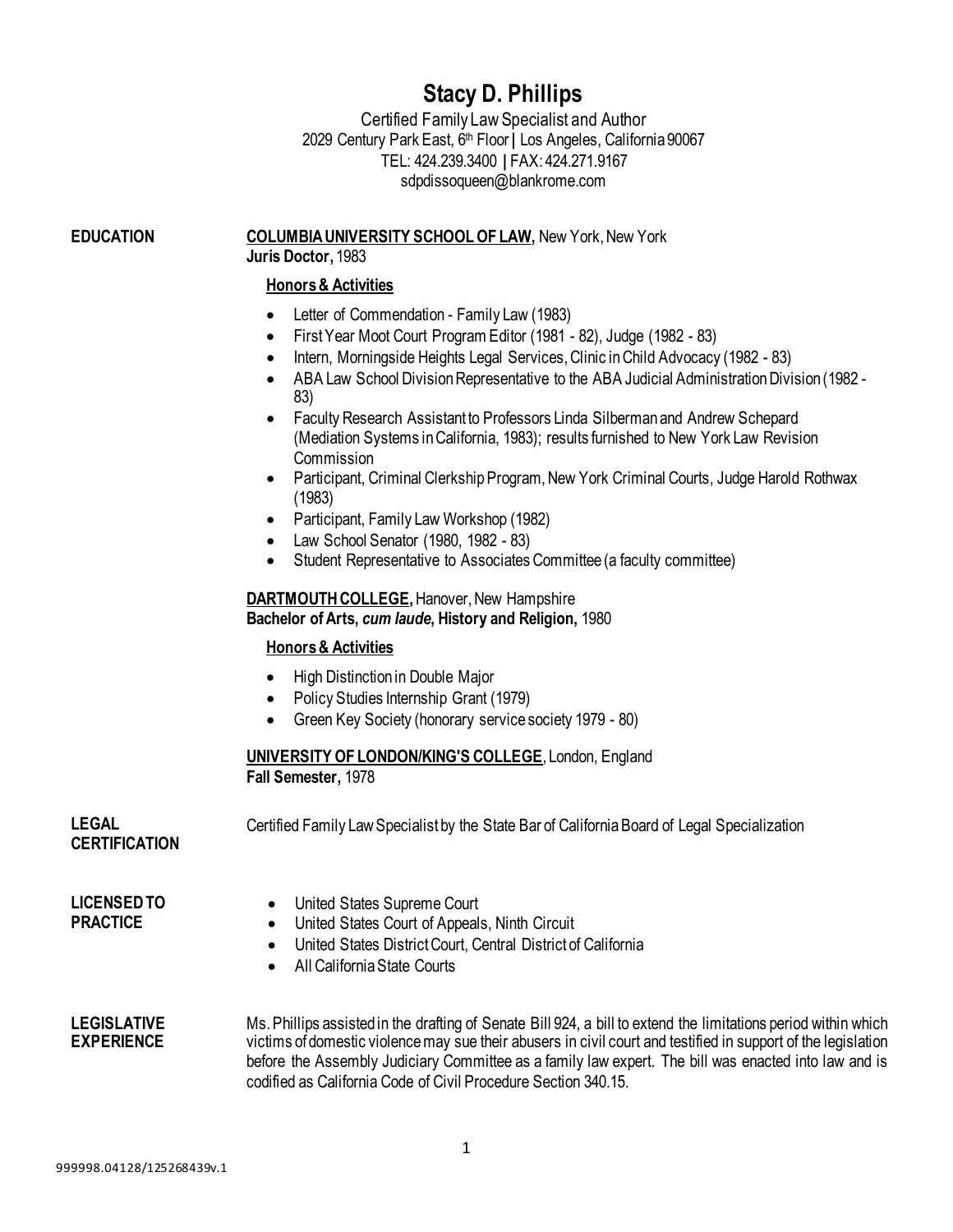# **Stacy D. Phillips**

Certified Family LawSpecialist and Author 2029 Century Park East, 6<sup>th</sup> Floor | Los Angeles, California 90067 TEL: 424.239.3400 **|** FAX: 424.271.9167 [sdpdissoqueen@blankrome.com](mailto:sdpdissoqueen@blankrome.com)

**EDUCATION COLUMBIA UNIVERSITY SCHOOL OF LAW, New York, New York Juris Doctor,** 1983

#### **Honors & Activities**

- Letter of Commendation Family Law (1983)
- First Year Moot Court Program Editor (1981 82), Judge (1982 83)
- Intern, Morningside Heights Legal Services, Clinic in Child Advocacy (1982 83)
- ABA Law School Division Representative to the ABA Judicial Administration Division (1982 83)
- Faculty Research Assistant to Professors Linda Silberman and Andrew Schepard (Mediation Systems in California, 1983); results furnished to New York Law Revision **Commission**
- Participant, Criminal Clerkship Program, New York Criminal Courts, Judge Harold Rothwax (1983)
- Participant, Family Law Workshop (1982)
- Law School Senator (1980, 1982 83)
- Student Representative to Associates Committee (a faculty committee)

## **DARTMOUTH COLLEGE, Hanover, New Hampshire Bachelor of Arts,** *cum laude***, History and Religion,** 1980

#### **Honors & Activities**

- High Distinction in Double Major
- Policy Studies Internship Grant (1979)
- Green Key Society (honorary service society 1979 80)

## **UNIVERSITY OF LONDON/KING'S COLLEGE**, London, England **Fall Semester,** 1978

**LEGAL CERTIFICATION** Certified Family LawSpecialist by the State Bar of CaliforniaBoard of Legal Specialization

**LICENSEDTO PRACTICE**

- United States Supreme Court
- United States Court of Appeals, Ninth Circuit
- United States District Court, Central District of California
- All California State Courts
- **LEGISLATIVE EXPERIENCE** Ms. Phillips assisted in the drafting of Senate Bill 924, a bill to extend the limitations period within which victims of domestic violence may sue their abusers in civil court and testified in support of the legislation before the Assembly Judiciary Committee as a family law expert. The bill was enacted into law and is codified as California Code of Civil Procedure Section 340.15.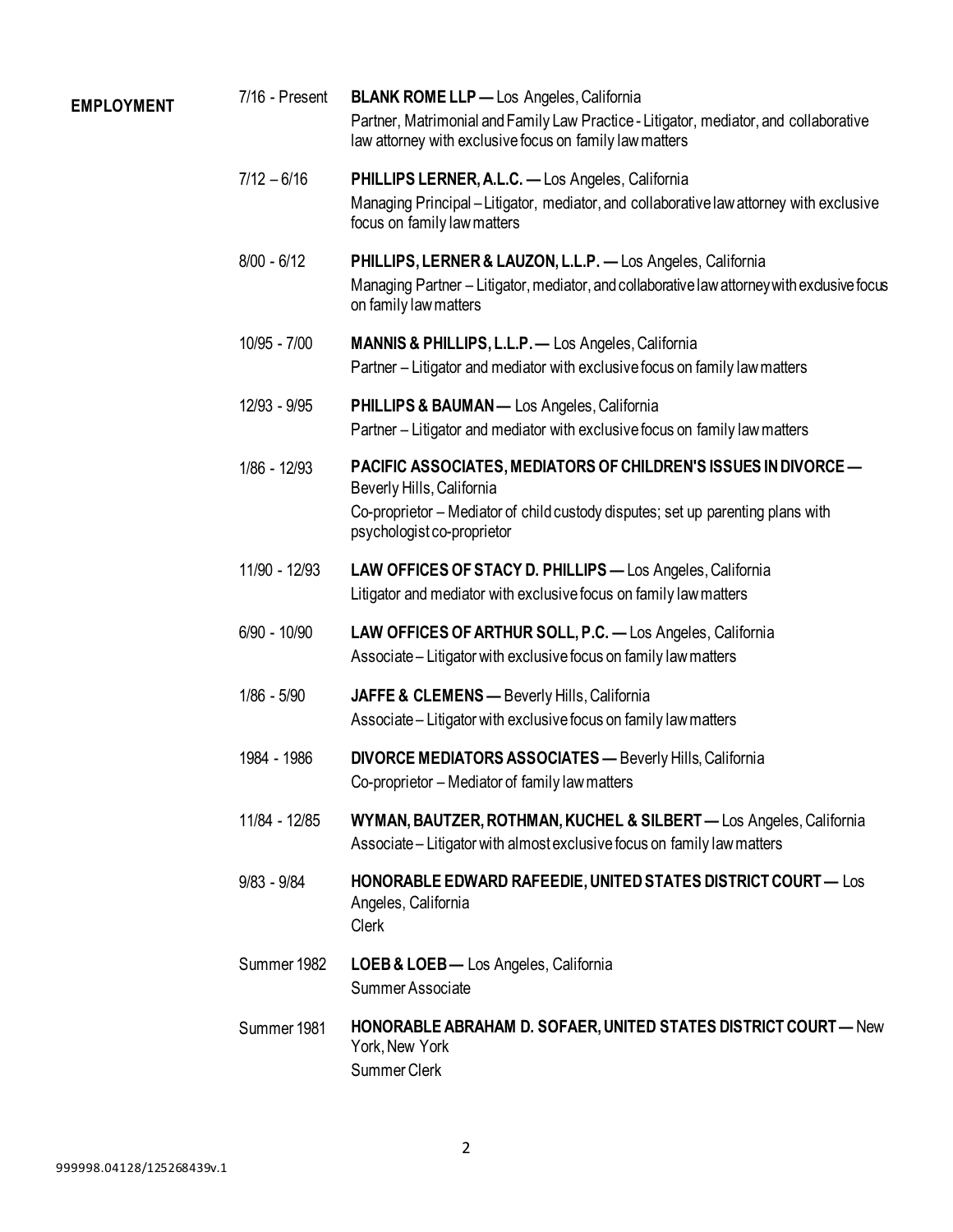| <b>EMPLOYMENT</b> | 7/16 - Present | <b>BLANK ROME LLP</b> - Los Angeles, California<br>Partner, Matrimonial and Family Law Practice - Litigator, mediator, and collaborative<br>law attorney with exclusive focus on family law matters           |
|-------------------|----------------|---------------------------------------------------------------------------------------------------------------------------------------------------------------------------------------------------------------|
|                   | $7/12 - 6/16$  | PHILLIPS LERNER, A.L.C. - Los Angeles, California<br>Managing Principal – Litigator, mediator, and collaborative law attorney with exclusive<br>focus on family law matters                                   |
|                   | $8/00 - 6/12$  | PHILLIPS, LERNER & LAUZON, L.L.P. - Los Angeles, California<br>Managing Partner - Litigator, mediator, and collaborative law attorney with exclusive focus<br>on family law matters                           |
|                   | 10/95 - 7/00   | <b>MANNIS &amp; PHILLIPS, L.L.P.</b> — Los Angeles, California<br>Partner – Litigator and mediator with exclusive focus on family law matters                                                                 |
|                   | 12/93 - 9/95   | <b>PHILLIPS &amp; BAUMAN</b> — Los Angeles, California<br>Partner – Litigator and mediator with exclusive focus on family law matters                                                                         |
|                   | 1/86 - 12/93   | PACIFIC ASSOCIATES, MEDIATORS OF CHILDREN'S ISSUES IN DIVORCE -<br>Beverly Hills, California<br>Co-proprietor – Mediator of child custody disputes; set up parenting plans with<br>psychologist co-proprietor |
|                   | 11/90 - 12/93  | LAW OFFICES OF STACY D. PHILLIPS - Los Angeles, California<br>Litigator and mediator with exclusive focus on family law matters                                                                               |
|                   | $6/90 - 10/90$ | LAW OFFICES OF ARTHUR SOLL, P.C. - Los Angeles, California<br>Associate – Litigator with exclusive focus on family law matters                                                                                |
|                   | $1/86 - 5/90$  | JAFFE & CLEMENS - Beverly Hills, California<br>Associate – Litigator with exclusive focus on family law matters                                                                                               |
|                   | 1984 - 1986    | <b>DIVORCE MEDIATORS ASSOCIATES - Beverly Hills, California</b><br>Co-proprietor – Mediator of family law matters                                                                                             |
|                   | 11/84 - 12/85  | WYMAN, BAUTZER, ROTHMAN, KUCHEL & SILBERT - Los Angeles, California<br>Associate – Litigator with almost exclusive focus on family law matters                                                                |
|                   | $9/83 - 9/84$  | HONORABLE EDWARD RAFEEDIE, UNITED STATES DISTRICT COURT - Los<br>Angeles, California<br>Clerk                                                                                                                 |
|                   | Summer 1982    | LOEB & LOEB-Los Angeles, California<br>Summer Associate                                                                                                                                                       |
|                   | Summer 1981    | <b>HONORABLE ABRAHAM D. SOFAER, UNITED STATES DISTRICT COURT - New</b><br>York, New York<br>Summer Clerk                                                                                                      |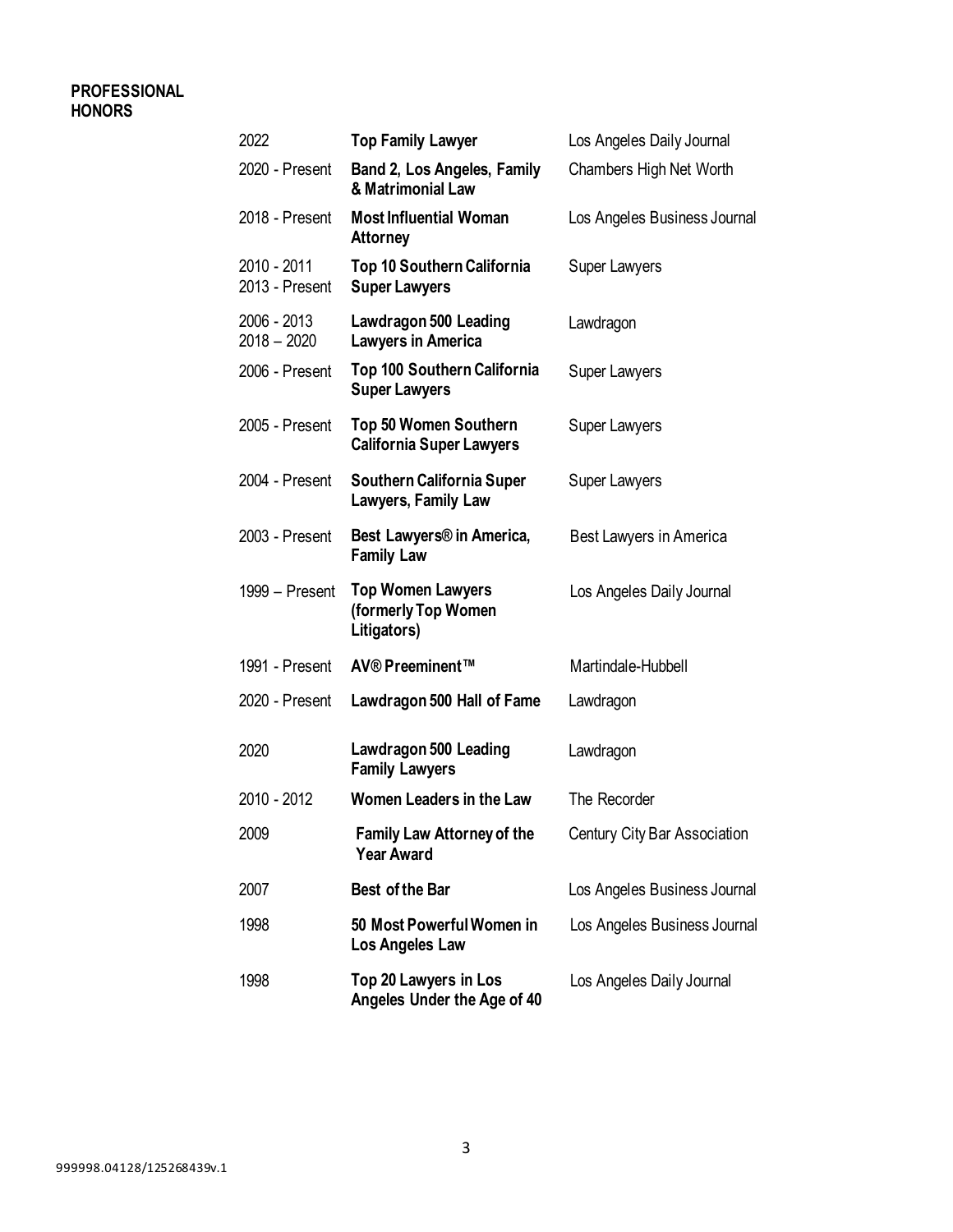## **PROFESSIONAL HONORS**

| 2022                          | <b>Top Family Lawyer</b>                                       | Los Angeles Daily Journal    |
|-------------------------------|----------------------------------------------------------------|------------------------------|
| 2020 - Present                | Band 2, Los Angeles, Family<br>& Matrimonial Law               | Chambers High Net Worth      |
| 2018 - Present                | <b>Most Influential Woman</b><br><b>Attorney</b>               | Los Angeles Business Journal |
| 2010 - 2011<br>2013 - Present | Top 10 Southern California<br><b>Super Lawyers</b>             | Super Lawyers                |
| 2006 - 2013<br>$2018 - 2020$  | <b>Lawdragon 500 Leading</b><br><b>Lawyers in America</b>      | Lawdragon                    |
| 2006 - Present                | Top 100 Southern California<br><b>Super Lawyers</b>            | Super Lawyers                |
| 2005 - Present                | Top 50 Women Southern<br><b>California Super Lawyers</b>       | Super Lawyers                |
| 2004 - Present                | Southern California Super<br>Lawyers, Family Law               | <b>Super Lawyers</b>         |
| 2003 - Present                | Best Lawyers <sup>®</sup> in America,<br><b>Family Law</b>     | Best Lawyers in America      |
| 1999 - Present                | <b>Top Women Lawyers</b><br>(formerly Top Women<br>Litigators) | Los Angeles Daily Journal    |
| 1991 - Present                | AV® Preeminent™                                                | Martindale-Hubbell           |
| 2020 - Present                | <b>Lawdragon 500 Hall of Fame</b>                              | Lawdragon                    |
| 2020                          | <b>Lawdragon 500 Leading</b><br><b>Family Lawyers</b>          | Lawdragon                    |
| 2010 - 2012                   | Women Leaders in the Law                                       | The Recorder                 |
| 2009                          | <b>Family Law Attorney of the</b><br><b>Year Award</b>         | Century City Bar Association |
| 2007                          | <b>Best of the Bar</b>                                         | Los Angeles Business Journal |
| 1998                          | 50 Most Powerful Women in<br>Los Angeles Law                   | Los Angeles Business Journal |
| 1998                          | Top 20 Lawyers in Los<br>Angeles Under the Age of 40           | Los Angeles Daily Journal    |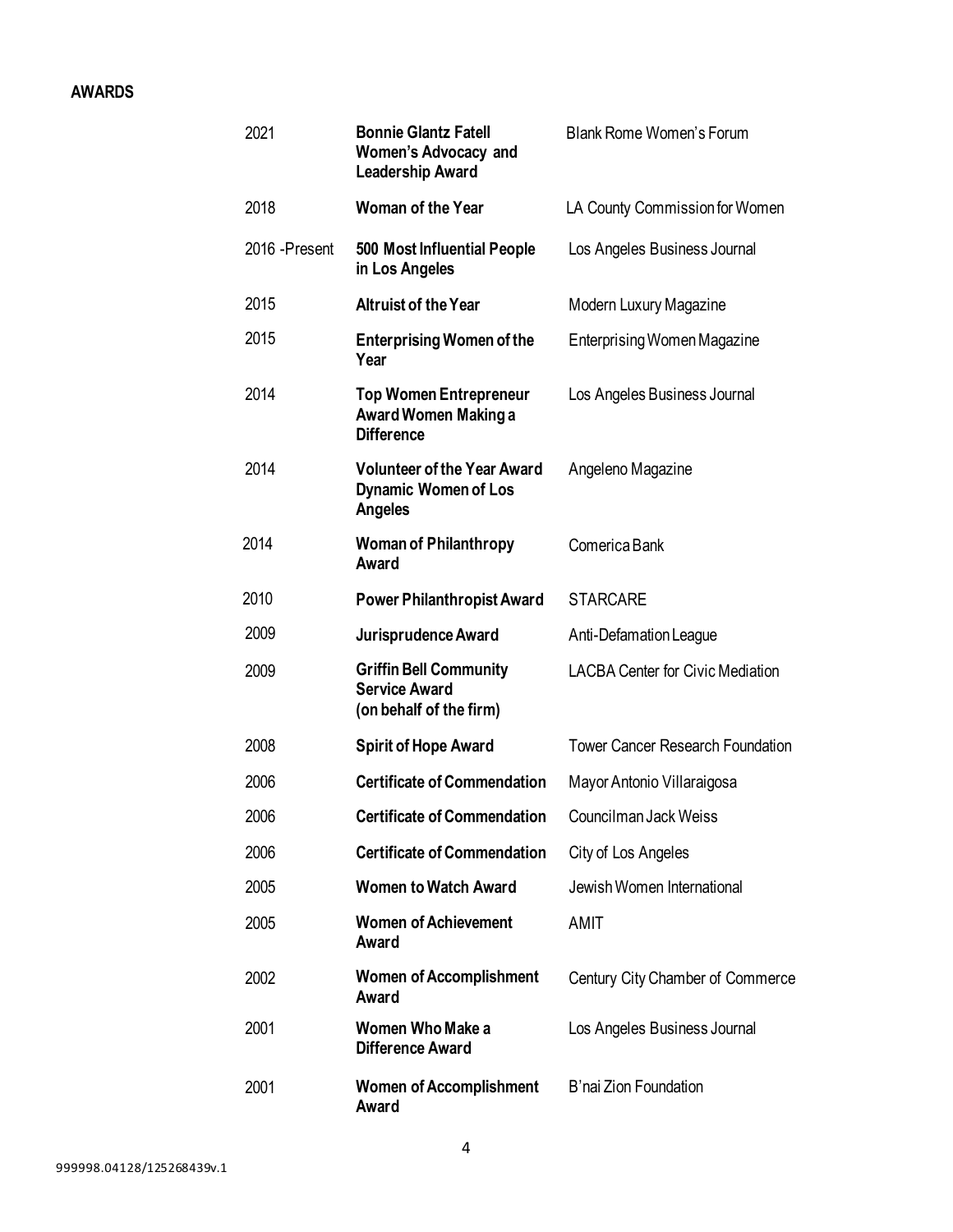## **AWARDS**

| 2021           | <b>Bonnie Glantz Fatell</b><br><b>Women's Advocacy and</b><br><b>Leadership Award</b> | <b>Blank Rome Women's Forum</b>         |  |  |
|----------------|---------------------------------------------------------------------------------------|-----------------------------------------|--|--|
| 2018           | <b>Woman of the Year</b>                                                              | LA County Commission for Women          |  |  |
| 2016 - Present | 500 Most Influential People<br>in Los Angeles                                         | Los Angeles Business Journal            |  |  |
| 2015           | <b>Altruist of the Year</b>                                                           | Modern Luxury Magazine                  |  |  |
| 2015           | <b>Enterprising Women of the</b><br>Year                                              | Enterprising Women Magazine             |  |  |
| 2014           | <b>Top Women Entrepreneur</b><br>Award Women Making a<br><b>Difference</b>            | Los Angeles Business Journal            |  |  |
| 2014           | <b>Volunteer of the Year Award</b><br><b>Dynamic Women of Los</b><br>Angeles          | Angeleno Magazine                       |  |  |
| 2014           | <b>Woman of Philanthropy</b><br>Award                                                 | Comerica Bank                           |  |  |
| 2010           | <b>Power Philanthropist Award</b>                                                     | <b>STARCARE</b>                         |  |  |
| 2009           | Jurisprudence Award                                                                   | Anti-Defamation League                  |  |  |
| 2009           | <b>Griffin Bell Community</b><br><b>Service Award</b><br>(on behalf of the firm)      | <b>LACBA Center for Civic Mediation</b> |  |  |
| 2008           | <b>Spirit of Hope Award</b>                                                           | <b>Tower Cancer Research Foundation</b> |  |  |
| 2006           | <b>Certificate of Commendation</b>                                                    | Mayor Antonio Villaraigosa              |  |  |
| 2006           | <b>Certificate of Commendation</b>                                                    | Councilman Jack Weiss                   |  |  |
| 2006           | <b>Certificate of Commendation</b>                                                    | City of Los Angeles                     |  |  |
| 2005           | <b>Women to Watch Award</b>                                                           | Jewish Women International              |  |  |
| 2005           | <b>Women of Achievement</b><br>Award                                                  | AMIT                                    |  |  |
| 2002           | <b>Women of Accomplishment</b><br>Award                                               | Century City Chamber of Commerce        |  |  |
| 2001           | <b>Women Who Make a</b><br><b>Difference Award</b>                                    | Los Angeles Business Journal            |  |  |
| 2001           | <b>Women of Accomplishment</b><br>Award                                               | B'nai Zion Foundation                   |  |  |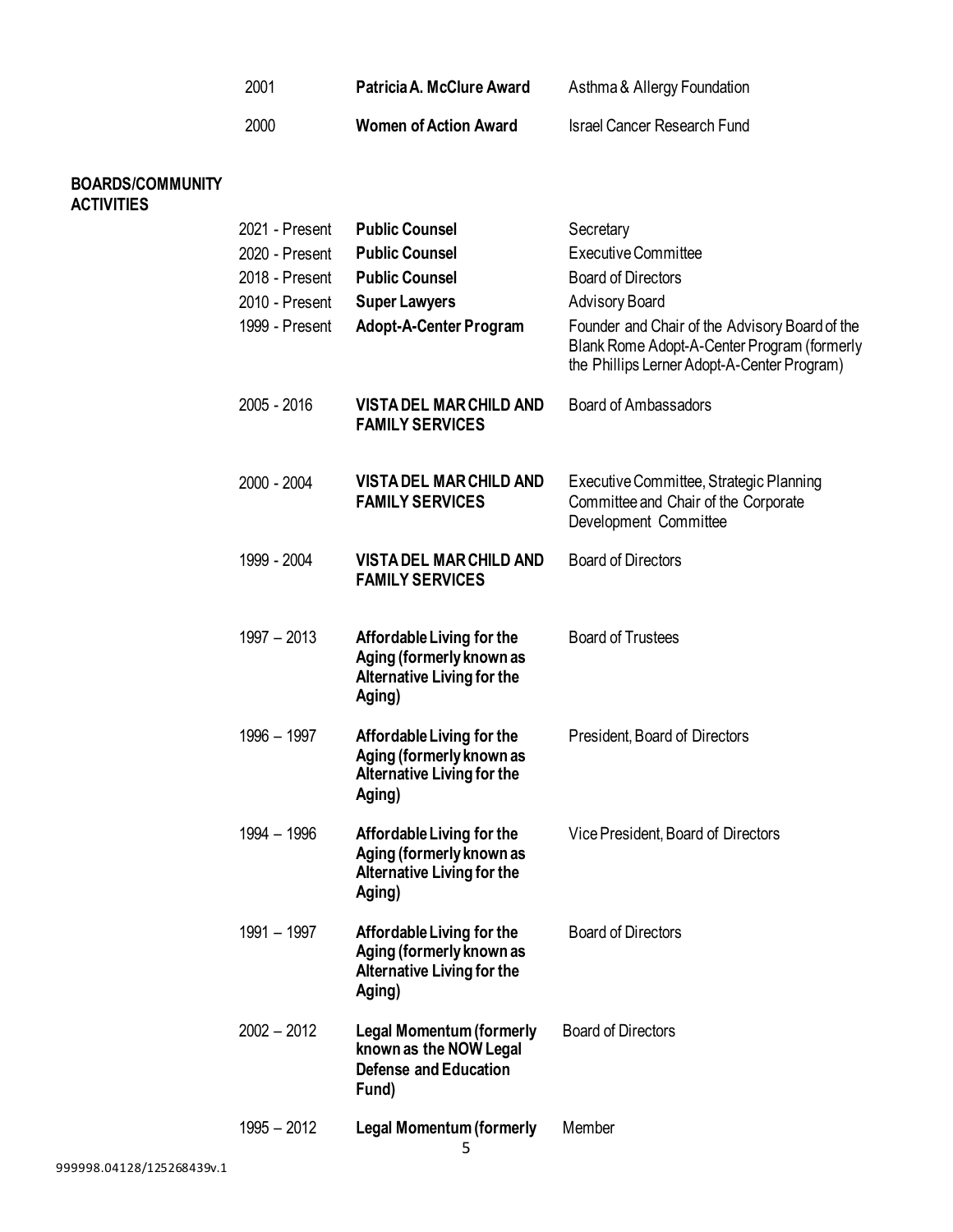| 2001 | Patricia A. McClure Award    | Asthma & Allergy Foundation        |
|------|------------------------------|------------------------------------|
| 2000 | <b>Women of Action Award</b> | <b>Israel Cancer Research Fund</b> |

## **BOARDS/COMMUNITY ACTIVITIES**

| 2021 - Present<br>2020 - Present<br>2018 - Present<br>2010 - Present<br>1999 - Present | <b>Public Counsel</b><br><b>Public Counsel</b><br><b>Public Counsel</b><br><b>Super Lawyers</b><br>Adopt-A-Center Program | Secretary<br><b>Executive Committee</b><br><b>Board of Directors</b><br><b>Advisory Board</b><br>Founder and Chair of the Advisory Board of the<br>Blank Rome Adopt-A-Center Program (formerly<br>the Phillips Lerner Adopt-A-Center Program) |
|----------------------------------------------------------------------------------------|---------------------------------------------------------------------------------------------------------------------------|-----------------------------------------------------------------------------------------------------------------------------------------------------------------------------------------------------------------------------------------------|
| 2005 - 2016                                                                            | <b>VISTA DEL MAR CHILD AND</b><br><b>FAMILY SERVICES</b>                                                                  | <b>Board of Ambassadors</b>                                                                                                                                                                                                                   |
| 2000 - 2004                                                                            | <b>VISTA DEL MAR CHILD AND</b><br><b>FAMILY SERVICES</b>                                                                  | Executive Committee, Strategic Planning<br>Committee and Chair of the Corporate<br>Development Committee                                                                                                                                      |
| 1999 - 2004                                                                            | <b>VISTA DEL MAR CHILD AND</b><br><b>FAMILY SERVICES</b>                                                                  | <b>Board of Directors</b>                                                                                                                                                                                                                     |
| $1997 - 2013$                                                                          | Affordable Living for the<br>Aging (formerly known as<br><b>Alternative Living for the</b><br>Aging)                      | <b>Board of Trustees</b>                                                                                                                                                                                                                      |
| 1996 - 1997                                                                            | Affordable Living for the<br>Aging (formerly known as<br><b>Alternative Living for the</b><br>Aging)                      | President, Board of Directors                                                                                                                                                                                                                 |
| 1994 - 1996                                                                            | Affordable Living for the<br>Aging (formerly known as<br><b>Alternative Living for the</b><br>Aging)                      | Vice President, Board of Directors                                                                                                                                                                                                            |
| 1991 - 1997                                                                            | Affordable Living for the<br>Aging (formerly known as<br><b>Alternative Living for the</b><br>Aging)                      | <b>Board of Directors</b>                                                                                                                                                                                                                     |
| $2002 - 2012$                                                                          | <b>Legal Momentum (formerly</b><br>known as the NOW Legal<br><b>Defense and Education</b><br>Fund)                        | <b>Board of Directors</b>                                                                                                                                                                                                                     |
| $1995 - 2012$                                                                          | <b>Legal Momentum (formerly</b>                                                                                           | Member                                                                                                                                                                                                                                        |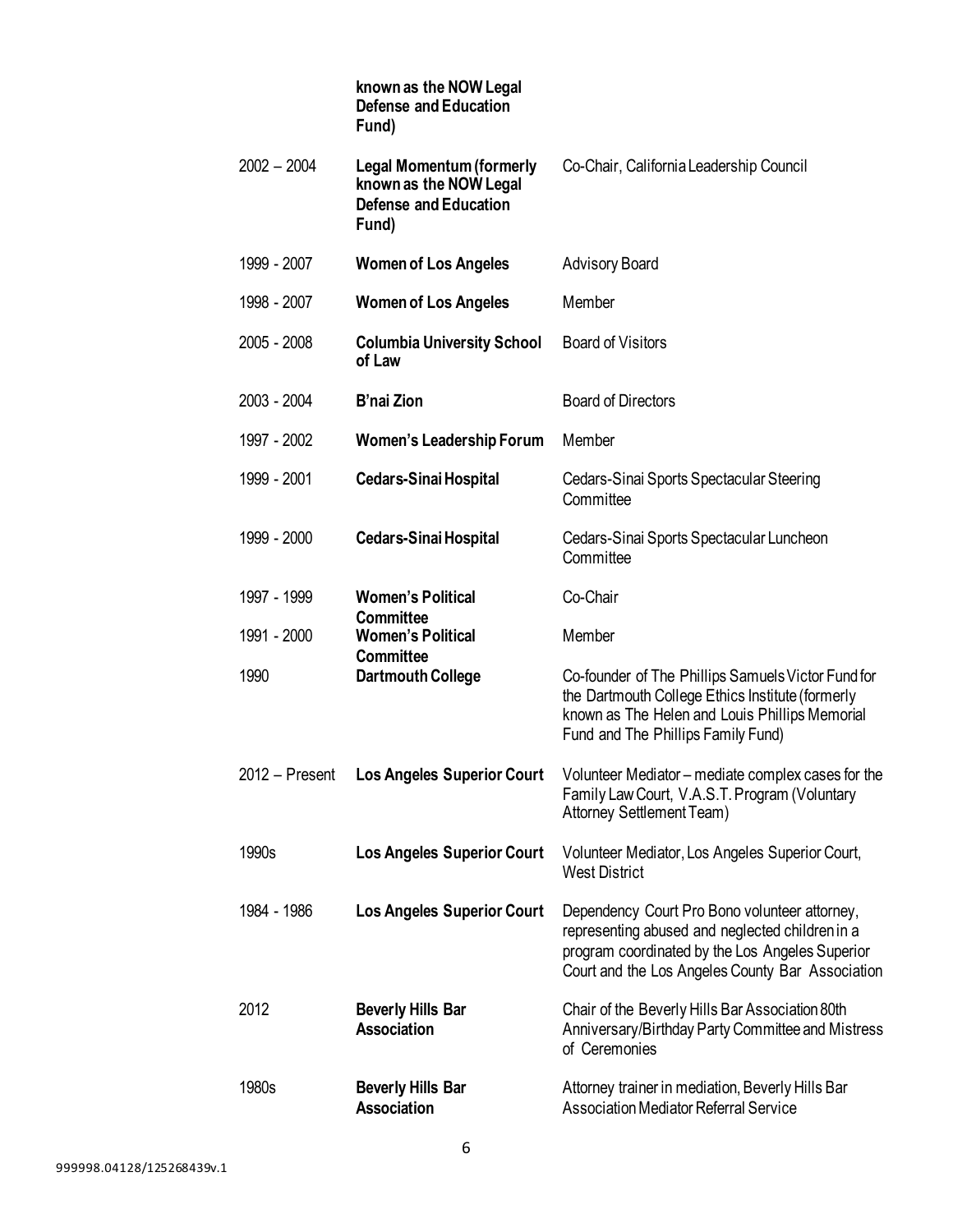|               | known as the NOW Legal<br><b>Defense and Education</b><br>Fund)                                    |                                                                                                                                                                                                         |
|---------------|----------------------------------------------------------------------------------------------------|---------------------------------------------------------------------------------------------------------------------------------------------------------------------------------------------------------|
| $2002 - 2004$ | <b>Legal Momentum (formerly</b><br>known as the NOW Legal<br><b>Defense and Education</b><br>Fund) | Co-Chair, California Leadership Council                                                                                                                                                                 |
| 1999 - 2007   | <b>Women of Los Angeles</b>                                                                        | <b>Advisory Board</b>                                                                                                                                                                                   |
| 1998 - 2007   | <b>Women of Los Angeles</b>                                                                        | Member                                                                                                                                                                                                  |
| 2005 - 2008   | <b>Columbia University School</b><br>of Law                                                        | <b>Board of Visitors</b>                                                                                                                                                                                |
| 2003 - 2004   | <b>B'nai Zion</b>                                                                                  | <b>Board of Directors</b>                                                                                                                                                                               |
| 1997 - 2002   | Women's Leadership Forum                                                                           | Member                                                                                                                                                                                                  |
| 1999 - 2001   | <b>Cedars-Sinai Hospital</b>                                                                       | Cedars-Sinai Sports Spectacular Steering<br>Committee                                                                                                                                                   |
| 1999 - 2000   | <b>Cedars-Sinai Hospital</b>                                                                       | Cedars-Sinai Sports Spectacular Luncheon<br>Committee                                                                                                                                                   |
| 1997 - 1999   | <b>Women's Political</b><br><b>Committee</b>                                                       | Co-Chair                                                                                                                                                                                                |
| 1991 - 2000   | <b>Women's Political</b><br><b>Committee</b>                                                       | Member                                                                                                                                                                                                  |
| 1990          | <b>Dartmouth College</b>                                                                           | Co-founder of The Phillips Samuels Victor Fund for<br>the Dartmouth College Ethics Institute (formerly<br>known as The Helen and Louis Phillips Memorial<br>Fund and The Phillips Family Fund)          |
|               |                                                                                                    | 2012 - Present Los Angeles Superior Court Volunteer Mediator - mediate complex cases for the<br>Family Law Court, V.A.S.T. Program (Voluntary<br>Attorney Settlement Team)                              |
| 1990s         | <b>Los Angeles Superior Court</b>                                                                  | Volunteer Mediator, Los Angeles Superior Court,<br><b>West District</b>                                                                                                                                 |
| 1984 - 1986   | <b>Los Angeles Superior Court</b>                                                                  | Dependency Court Pro Bono volunteer attorney,<br>representing abused and neglected children in a<br>program coordinated by the Los Angeles Superior<br>Court and the Los Angeles County Bar Association |
| 2012          | <b>Beverly Hills Bar</b><br><b>Association</b>                                                     | Chair of the Beverly Hills Bar Association 80th<br>Anniversary/Birthday Party Committee and Mistress<br>of Ceremonies                                                                                   |
| 1980s         | <b>Beverly Hills Bar</b><br><b>Association</b>                                                     | Attorney trainer in mediation, Beverly Hills Bar<br><b>Association Mediator Referral Service</b>                                                                                                        |
|               |                                                                                                    |                                                                                                                                                                                                         |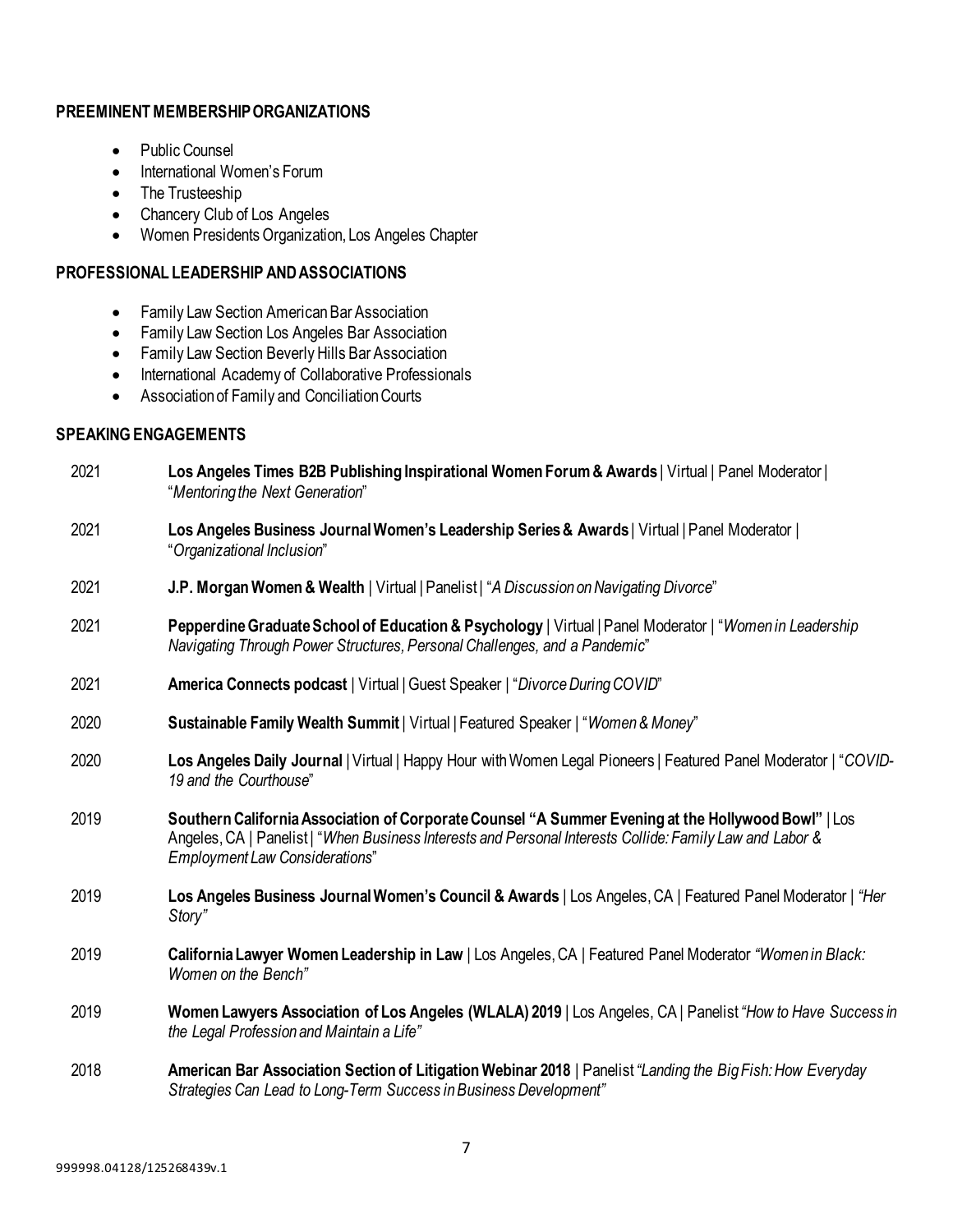## **PREEMINENT MEMBERSHIPORGANIZATIONS**

- Public Counsel
- International Women's Forum
- The Trusteeship
- Chancery Club of Los Angeles
- Women Presidents Organization, Los Angeles Chapter

## **PROFESSIONAL LEADERSHIP AND ASSOCIATIONS**

- Family Law Section American Bar Association
- Family Law Section Los Angeles Bar Association
- Family Law Section Beverly Hills Bar Association
- International Academy of Collaborative Professionals
- Association of Family and Conciliation Courts

## **SPEAKINGENGAGEMENTS**

| 2021 | Los Angeles Times B2B Publishing Inspirational Women Forum & Awards   Virtual   Panel Moderator  <br>"Mentoring the Next Generation"                                                                                                              |
|------|---------------------------------------------------------------------------------------------------------------------------------------------------------------------------------------------------------------------------------------------------|
| 2021 | Los Angeles Business Journal Women's Leadership Series & Awards   Virtual   Panel Moderator  <br>"Organizational Inclusion"                                                                                                                       |
| 2021 | J.P. Morgan Women & Wealth   Virtual   Panelist   "A Discussion on Navigating Divorce"                                                                                                                                                            |
| 2021 | Pepperdine Graduate School of Education & Psychology   Virtual   Panel Moderator   "Women in Leadership<br>Navigating Through Power Structures, Personal Challenges, and a Pandemic"                                                              |
| 2021 | America Connects podcast   Virtual   Guest Speaker   "Divorce During COVID"                                                                                                                                                                       |
| 2020 | Sustainable Family Wealth Summit   Virtual   Featured Speaker   "Women & Money"                                                                                                                                                                   |
| 2020 | Los Angeles Daily Journal   Virtual   Happy Hour with Women Legal Pioneers   Featured Panel Moderator   "COVID-<br>19 and the Courthouse"                                                                                                         |
| 2019 | Southern California Association of Corporate Counsel "A Summer Evening at the Hollywood Bowl"   Los<br>Angeles, CA   Panelist   "When Business Interests and Personal Interests Collide: Family Law and Labor &<br>Employment Law Considerations" |
| 2019 | Los Angeles Business Journal Women's Council & Awards   Los Angeles, CA   Featured Panel Moderator   "Her<br>Story"                                                                                                                               |
| 2019 | California Lawyer Women Leadership in Law   Los Angeles, CA   Featured Panel Moderator "Women in Black:<br>Women on the Bench"                                                                                                                    |
| 2019 | Women Lawyers Association of Los Angeles (WLALA) 2019   Los Angeles, CA   Panelist "How to Have Success in<br>the Legal Profession and Maintain a Life"                                                                                           |
| 2018 | American Bar Association Section of Litigation Webinar 2018   Panelist "Landing the Big Fish: How Everyday<br>Strategies Can Lead to Long-Term Success in Business Development"                                                                   |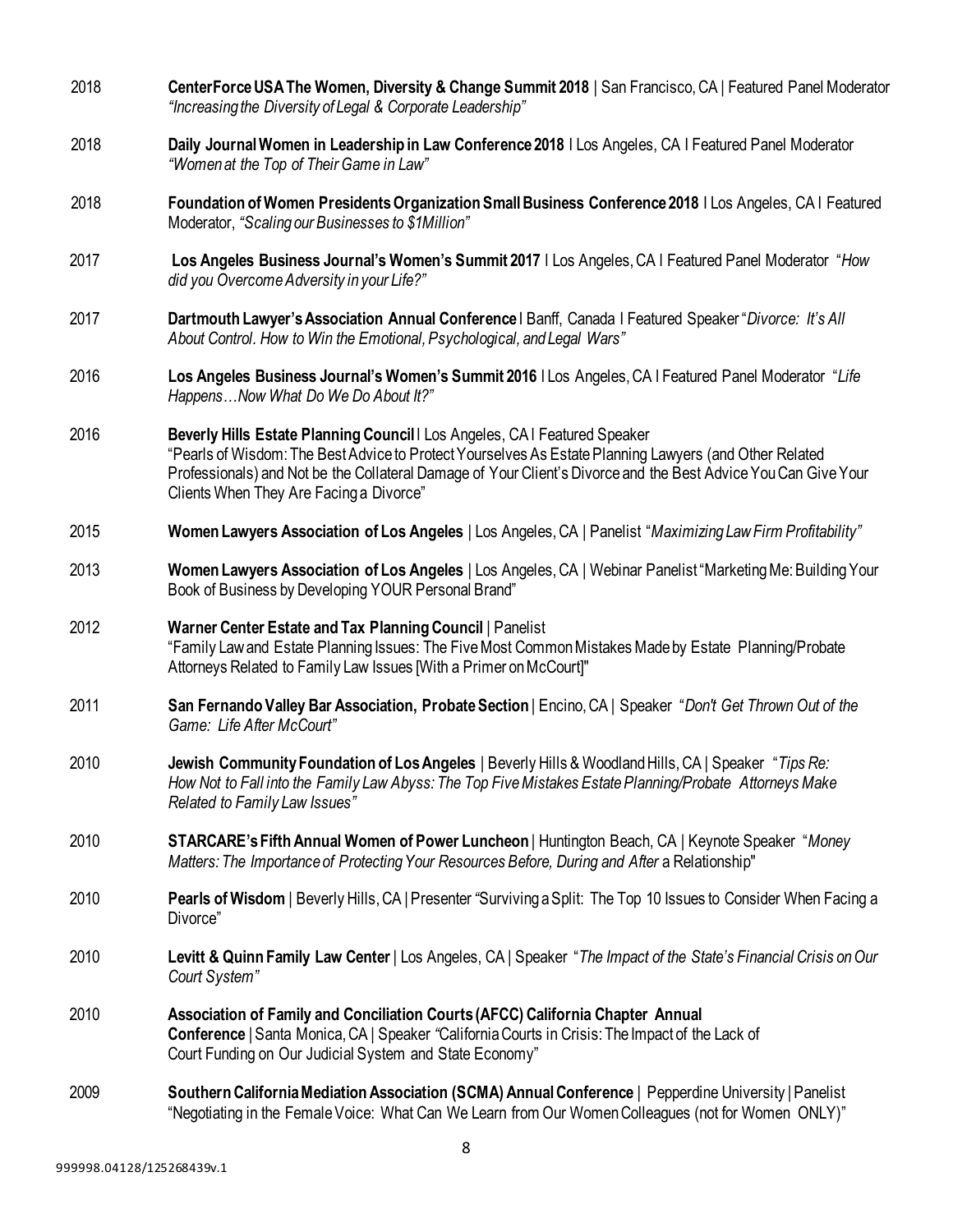| 2018 | CenterForce USA The Women, Diversity & Change Summit 2018   San Francisco, CA   Featured Panel Moderator<br>"Increasing the Diversity of Legal & Corporate Leadership"                                                                                                                                                                            |
|------|---------------------------------------------------------------------------------------------------------------------------------------------------------------------------------------------------------------------------------------------------------------------------------------------------------------------------------------------------|
| 2018 | Daily Journal Women in Leadership in Law Conference 2018   Los Angeles, CA   Featured Panel Moderator<br>"Women at the Top of Their Game in Law"                                                                                                                                                                                                  |
| 2018 | Foundation of Women Presidents Organization Small Business Conference 2018   Los Angeles, CA   Featured<br>Moderator, "Scaling our Businesses to \$1Million"                                                                                                                                                                                      |
| 2017 | Los Angeles Business Journal's Women's Summit 2017   Los Angeles, CA   Featured Panel Moderator "How<br>did you Overcome Adversity in your Life?"                                                                                                                                                                                                 |
| 2017 | Dartmouth Lawyer's Association Annual Conference   Banff, Canada   Featured Speaker "Divorce: It's All<br>About Control. How to Win the Emotional, Psychological, and Legal Wars"                                                                                                                                                                 |
| 2016 | Los Angeles Business Journal's Women's Summit 2016 I Los Angeles, CA I Featured Panel Moderator "Life<br>HappensNow What Do We Do About It?"                                                                                                                                                                                                      |
| 2016 | Beverly Hills Estate Planning Council   Los Angeles, CA   Featured Speaker<br>"Pearls of Wisdom: The Best Advice to Protect Yourselves As Estate Planning Lawyers (and Other Related<br>Professionals) and Not be the Collateral Damage of Your Client's Divorce and the Best Advice You Can Give Your<br>Clients When They Are Facing a Divorce" |
| 2015 | Women Lawyers Association of Los Angeles   Los Angeles, CA   Panelist "Maximizing Law Firm Profitability"                                                                                                                                                                                                                                         |
| 2013 | Women Lawyers Association of Los Angeles   Los Angeles, CA   Webinar Panelist "Marketing Me: Building Your<br>Book of Business by Developing YOUR Personal Brand"                                                                                                                                                                                 |
| 2012 | Warner Center Estate and Tax Planning Council   Panelist<br>"Family Law and Estate Planning Issues: The Five Most Common Mistakes Made by Estate Planning/Probate<br>Attorneys Related to Family Law Issues [With a Primer on McCourt]"                                                                                                           |
| 2011 | San Fernando Valley Bar Association, Probate Section   Encino, CA   Speaker "Don't Get Thrown Out of the<br>Game: Life After McCourt"                                                                                                                                                                                                             |
| 2010 | Jewish Community Foundation of Los Angeles   Beverly Hills & Woodland Hills, CA   Speaker "Tips Re:<br>How Not to Fall into the Family Law Abyss: The Top Five Mistakes Estate Planning/Probate Attorneys Make<br>Related to Family Law Issues"                                                                                                   |
| 2010 | <b>STARCARE's Fifth Annual Women of Power Luncheon</b>   Huntington Beach, CA   Keynote Speaker "Money"<br>Matters: The Importance of Protecting Your Resources Before, During and After a Relationship"                                                                                                                                          |
| 2010 | Pearls of Wisdom   Beverly Hills, CA   Presenter "Surviving a Split: The Top 10 Issues to Consider When Facing a<br>Divorce"                                                                                                                                                                                                                      |
| 2010 | Levitt & Quinn Family Law Center   Los Angeles, CA   Speaker "The Impact of the State's Financial Crisis on Our<br>Court System"                                                                                                                                                                                                                  |
| 2010 | Association of Family and Conciliation Courts (AFCC) California Chapter Annual<br>Conference   Santa Monica, CA   Speaker "California Courts in Crisis: The Impact of the Lack of<br>Court Funding on Our Judicial System and State Economy"                                                                                                      |
| 2009 | Southern California Mediation Association (SCMA) Annual Conference   Pepperdine University   Panelist<br>"Negotiating in the Female Voice: What Can We Learn from Our Women Colleagues (not for Women ONLY)"                                                                                                                                      |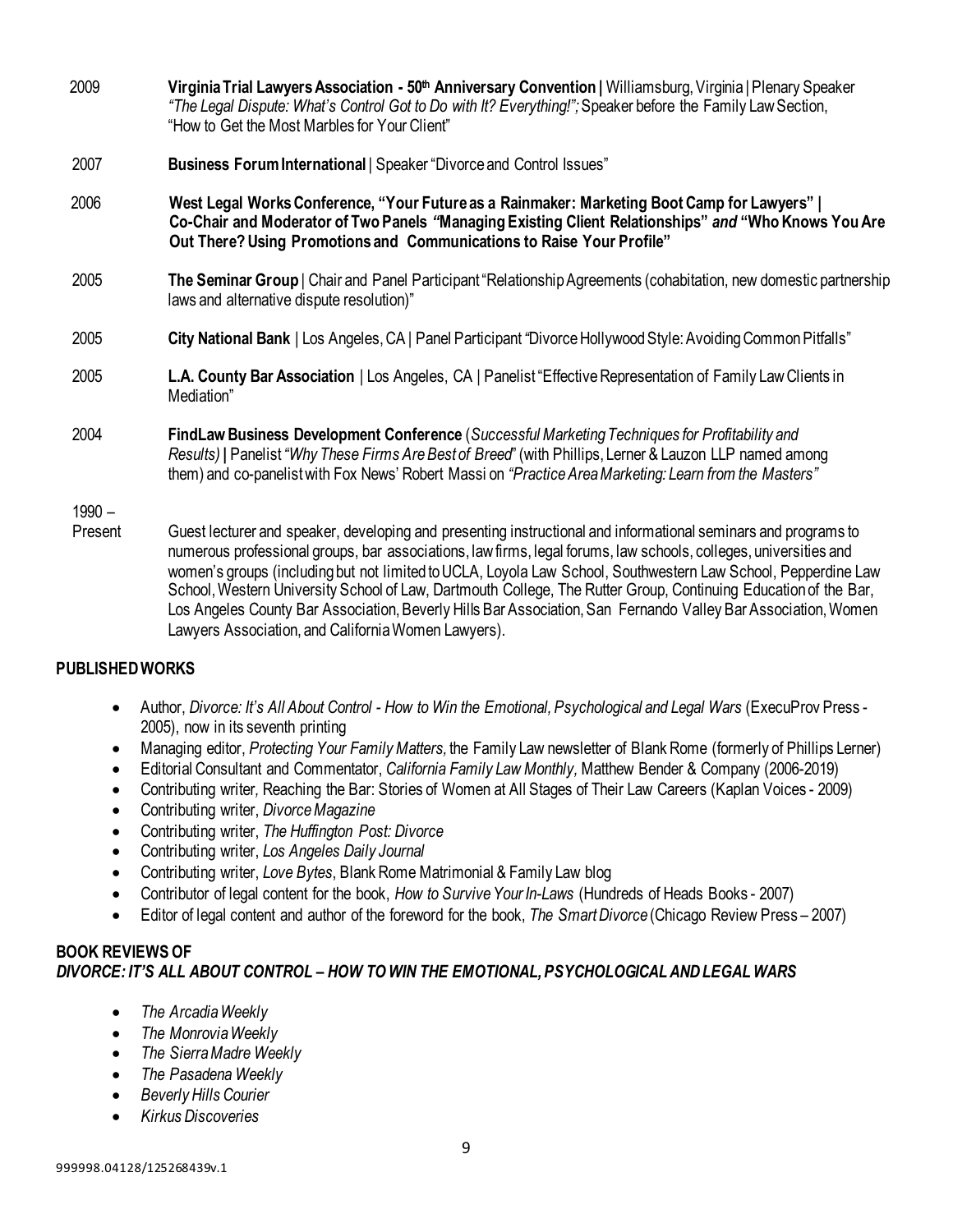| 2009     | Virginia Trial Lawyers Association - 50 <sup>th</sup> Anniversary Convention   Williamsburg, Virginia   Plenary Speaker<br>"The Legal Dispute: What's Control Got to Do with It? Everything!"; Speaker before the Family Law Section,<br>"How to Get the Most Marbles for Your Client"                                                                                                                                                                                 |
|----------|------------------------------------------------------------------------------------------------------------------------------------------------------------------------------------------------------------------------------------------------------------------------------------------------------------------------------------------------------------------------------------------------------------------------------------------------------------------------|
| 2007     | Business Forum International   Speaker "Divorce and Control Issues"                                                                                                                                                                                                                                                                                                                                                                                                    |
| 2006     | West Legal Works Conference, "Your Future as a Rainmaker: Marketing Boot Camp for Lawyers"  <br>Co-Chair and Moderator of Two Panels "Managing Existing Client Relationships" and "Who Knows You Are<br>Out There? Using Promotions and Communications to Raise Your Profile"                                                                                                                                                                                          |
| 2005     | The Seminar Group   Chair and Panel Participant "Relationship Agreements (cohabitation, new domestic partnership<br>laws and alternative dispute resolution)"                                                                                                                                                                                                                                                                                                          |
| 2005     | City National Bank   Los Angeles, CA   Panel Participant "Divorce Hollywood Style: Avoiding Common Pitfalls"                                                                                                                                                                                                                                                                                                                                                           |
| 2005     | L.A. County Bar Association   Los Angeles, CA   Panelist "Effective Representation of Family Law Clients in<br>Mediation"                                                                                                                                                                                                                                                                                                                                              |
| 2004     | FindLaw Business Development Conference (Successful Marketing Techniques for Profitability and<br>Results)   Panelist "Why These Firms Are Best of Breed" (with Phillips, Lerner & Lauzon LLP named among<br>them) and co-panelist with Fox News' Robert Massi on "Practice Area Marketing: Learn from the Masters"                                                                                                                                                    |
| $1990 -$ |                                                                                                                                                                                                                                                                                                                                                                                                                                                                        |
| Present  | Guest lecturer and speaker, developing and presenting instructional and informational seminars and programs to<br>numerous professional groups, bar associations, law firms, legal forums, law schools, colleges, universities and<br>women's groups (including but not limited to UCLA, Loyola Law School, Southwestern Law School, Pepperdine Law<br>School, Western University School of Law, Dartmouth College, The Rutter Group, Continuing Education of the Bar, |

## **PUBLISHED WORKS**

- Author, *Divorce: It's All About Control - How to Win the Emotional, Psychological and Legal Wars* (ExecuProv Press 2005), now in its seventh printing
- Managing editor, *Protecting Your FamilyMatters,* the Family Law newsletter of Blank Rome (formerly of Phillips Lerner)

Los Angeles County Bar Association, Beverly Hills Bar Association, San Fernando Valley Bar Association, Women

- Editorial Consultant and Commentator, *California Family Law Monthly,* Matthew Bender & Company (2006-2019)
- Contributing writer*,* Reaching the Bar: Stories of Women at All Stages of Their Law Careers (Kaplan Voices 2009)
- Contributing writer, *DivorceMagazine*
- Contributing writer, *The Huffington Post: Divorce*
- Contributing writer, *Los Angeles Daily Journal*
- Contributing writer, *Love Bytes*, Blank Rome Matrimonial & Family Law blog

Lawyers Association, and CaliforniaWomen Lawyers).

- Contributor of legal content for the book, *How to Survive Your In-Laws* (Hundreds of Heads Books 2007)
- Editor of legal content and author of the foreword for the book, *The Smart Divorce* (Chicago Review Press 2007)

## **BOOK REVIEWS OF** *DIVORCE: IT'S ALL ABOUT CONTROL – HOW TOWIN THE EMOTIONAL, PSYCHOLOGICALAND LEGAL WARS*

- *The Arcadia Weekly*
- *The MonroviaWeekly*
- *The SierraMadre Weekly*
- *The Pasadena Weekly*
- *Beverly Hills Courier*
- *Kirkus Discoveries*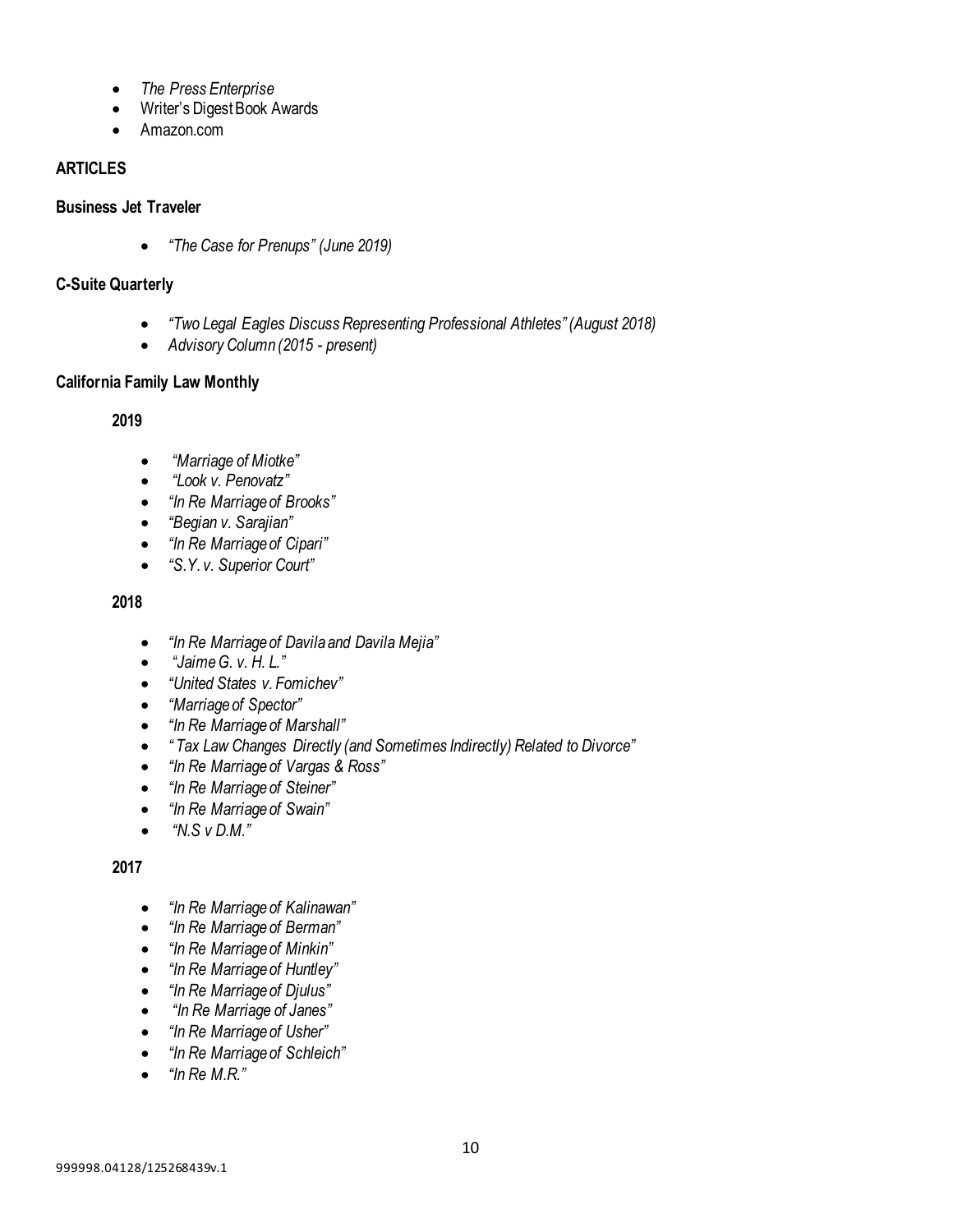- *The Press Enterprise*
- Writer's Digest Book Awards
- Amazon.com

## **ARTICLES**

## **Business Jet Traveler**

• *"The Case for Prenups" (June 2019)*

## **C-Suite Quarterly**

- *"Two Legal Eagles Discuss Representing Professional Athletes" (August 2018)*
- *Advisory Column (2015 - present)*

## **California Family Law Monthly**

**2019**

- *"Marriage of Miotke"*
- *"Look v. Penovatz"*
- *"In Re Marriage of Brooks"*
- *"Begian v. Sarajian"*
- *"In Re Marriage of Cipari"*
- *"S.Y. v. Superior Court"*

**2018**

- *"In Re Marriage of Davila and Davila Mejia"*
- *"Jaime G. v. H. L."*
- *"United States v. Fomichev"*
- *"Marriage of Spector"*
- *"In Re Marriage of Marshall"*
- *" Tax Law Changes Directly (and Sometimes Indirectly) Related to Divorce"*
- *"In Re Marriage of Vargas & Ross"*
- *"In Re Marriage of Steiner"*
- *"In Re Marriage of Swain"*
- *"N.S v D.M."*

## **2017**

- *"In Re Marriage of Kalinawan"*
- *"In Re Marriage of Berman"*
- *"In Re Marriage of Minkin"*
- *"In Re Marriage of Huntley"*
- *"In Re Marriage of Djulus"*
- *"In Re Marriage of Janes"*
- *"In Re Marriage of Usher"*
- *"In Re Marriage of Schleich"*
- *"In Re M.R."*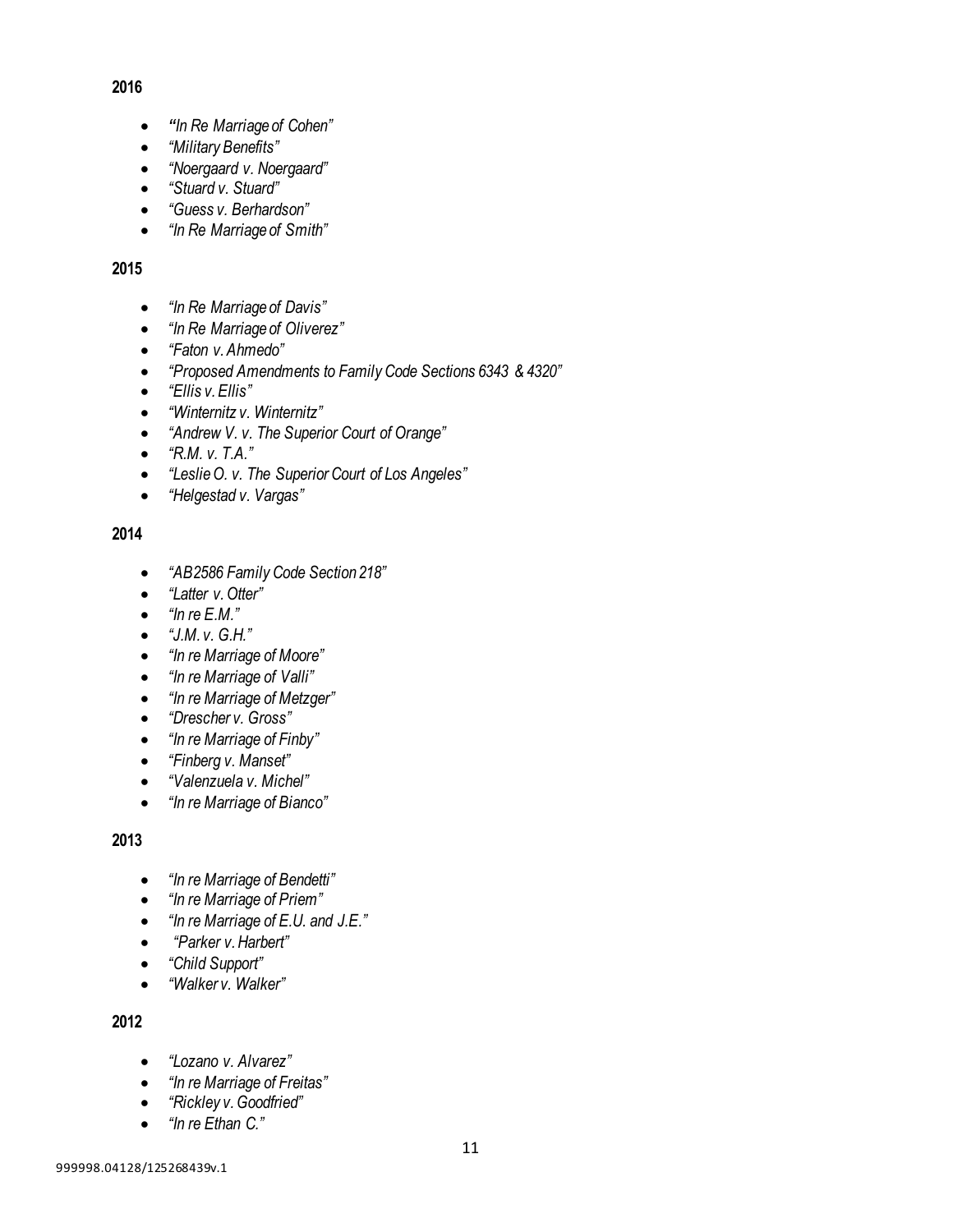## **2016**

- *"In Re Marriage of Cohen"*
- *"Military Benefits"*
- *"Noergaard v. Noergaard"*
- *"Stuard v. Stuard"*
- *"Guess v. Berhardson"*
- *"In Re Marriage of Smith"*

## **2015**

- *"In Re Marriage of Davis"*
- *"In Re Marriage of Oliverez"*
- *"Faton v.Ahmedo"*
- *"Proposed Amendments to Family Code Sections 6343 & 4320"*
- *"Ellis v. Ellis"*
- *"Winternitz v. Winternitz"*
- *"Andrew V. v. The Superior Court of Orange"*
- *"R.M. v. T.A."*
- *"Leslie O. v. The Superior Court of Los Angeles"*
- *"Helgestad v. Vargas"*

## **2014**

- *"AB2586 Family Code Section 218"*
- *"Latter v.Otter"*
- *"In re E.M."*
- *"J.M. v. G.H."*
- *"In re Marriage of Moore"*
- *"In re Marriage of Valli"*
- *"In re Marriage of Metzger"*
- *"Drescher v. Gross"*
- *"In re Marriage of Finby"*
- *"Finberg v. Manset"*
- *"Valenzuela v. Michel"*
- *"In re Marriage of Bianco"*

## **2013**

- *"In re Marriage of Bendetti"*
- *"In re Marriage of Priem"*
- *"In re Marriage of E.U. and J.E."*
- *"Parker v. Harbert"*
- *"Child Support"*
- *"Walker v. Walker"*

## **2012**

- *"Lozano v. Alvarez"*
- *"In re Marriage of Freitas"*
- *"Rickley v.Goodfried"*
- *"In re Ethan C."*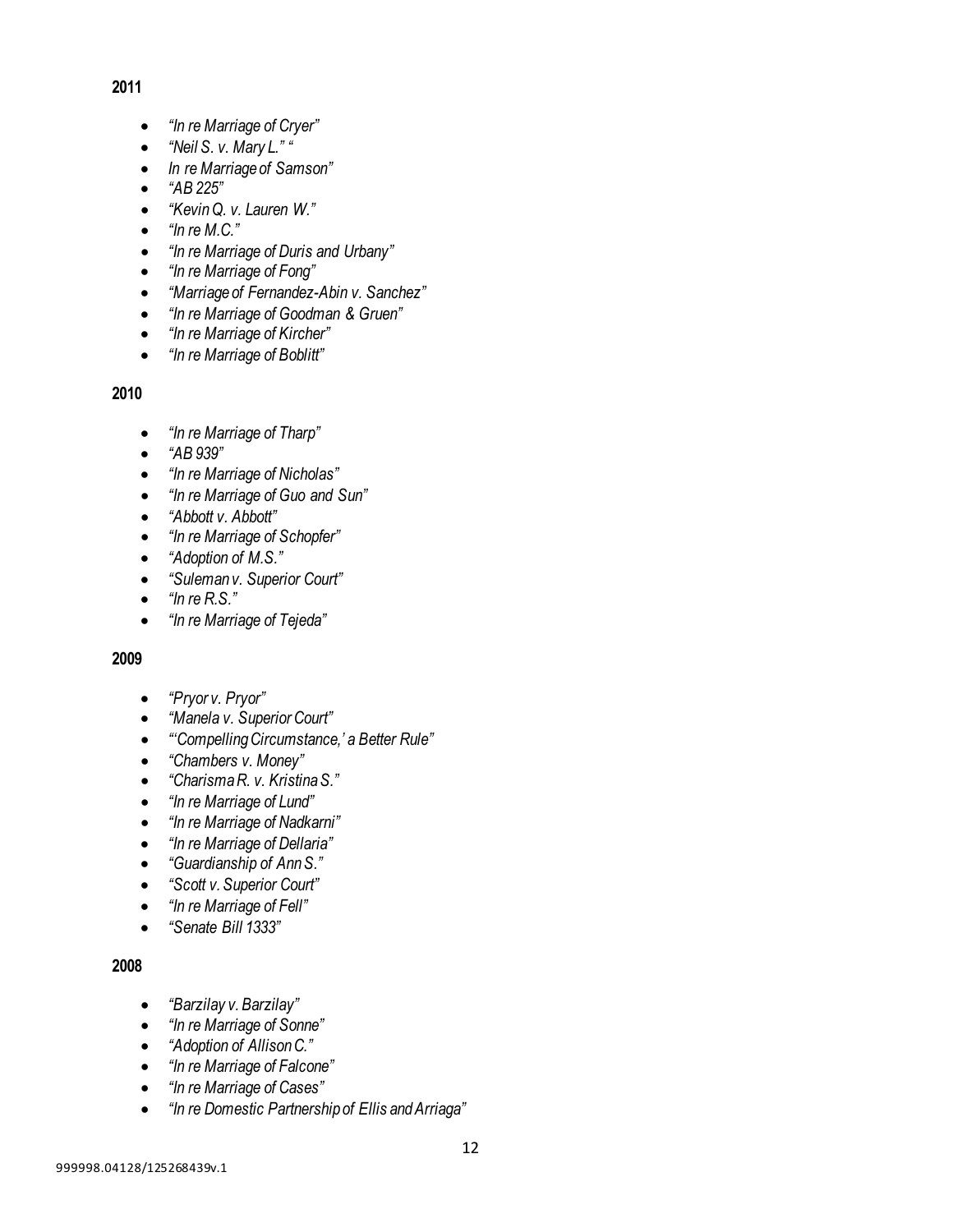## **2011**

- *"In re Marriage of Cryer"*
- *"Neil S. v. Mary L." "*
- *In re Marriage of Samson"*
- *"AB 225"*
- *"KevinQ. v. Lauren W."*
- *"In re M.C."*
- *"In re Marriage of Duris and Urbany"*
- *"In re Marriage of Fong"*
- *"Marriage of Fernandez-Abin v. Sanchez"*
- *"In re Marriage of Goodman & Gruen"*
- *"In re Marriage of Kircher"*
- *"In re Marriage of Boblitt"*

## **2010**

- *"In re Marriage of Tharp"*
- *"AB 939"*
- *"In re Marriage of Nicholas"*
- *"In re Marriage of Guo and Sun"*
- *"Abbott v. Abbott"*
- *"In re Marriage of Schopfer"*
- *"Adoption of M.S."*
- *"Suleman v. Superior Court"*
- *"In re R.S."*
- *"In re Marriage of Tejeda"*

## **2009**

- *"Pryor v. Pryor"*
- *"Manela v. Superior Court"*
- *"'Compelling Circumstance,' a Better Rule"*
- *"Chambers v. Money"*
- *"Charisma R. v. Kristina S."*
- *"In re Marriage of Lund"*
- *"In re Marriage of Nadkarni"*
- *"In re Marriage of Dellaria"*
- *"Guardianship of AnnS."*
- *"Scott v. Superior Court"*
- *"In re Marriage of Fell"*
- *"Senate Bill 1333"*

#### **2008**

- *"Barzilay v. Barzilay"*
- *"In re Marriage of Sonne"*
- *"Adoption of Allison C."*
- *"In re Marriage of Falcone"*
- *"In re Marriage of Cases"*
- *"In re Domestic Partnership of Ellis and Arriaga"*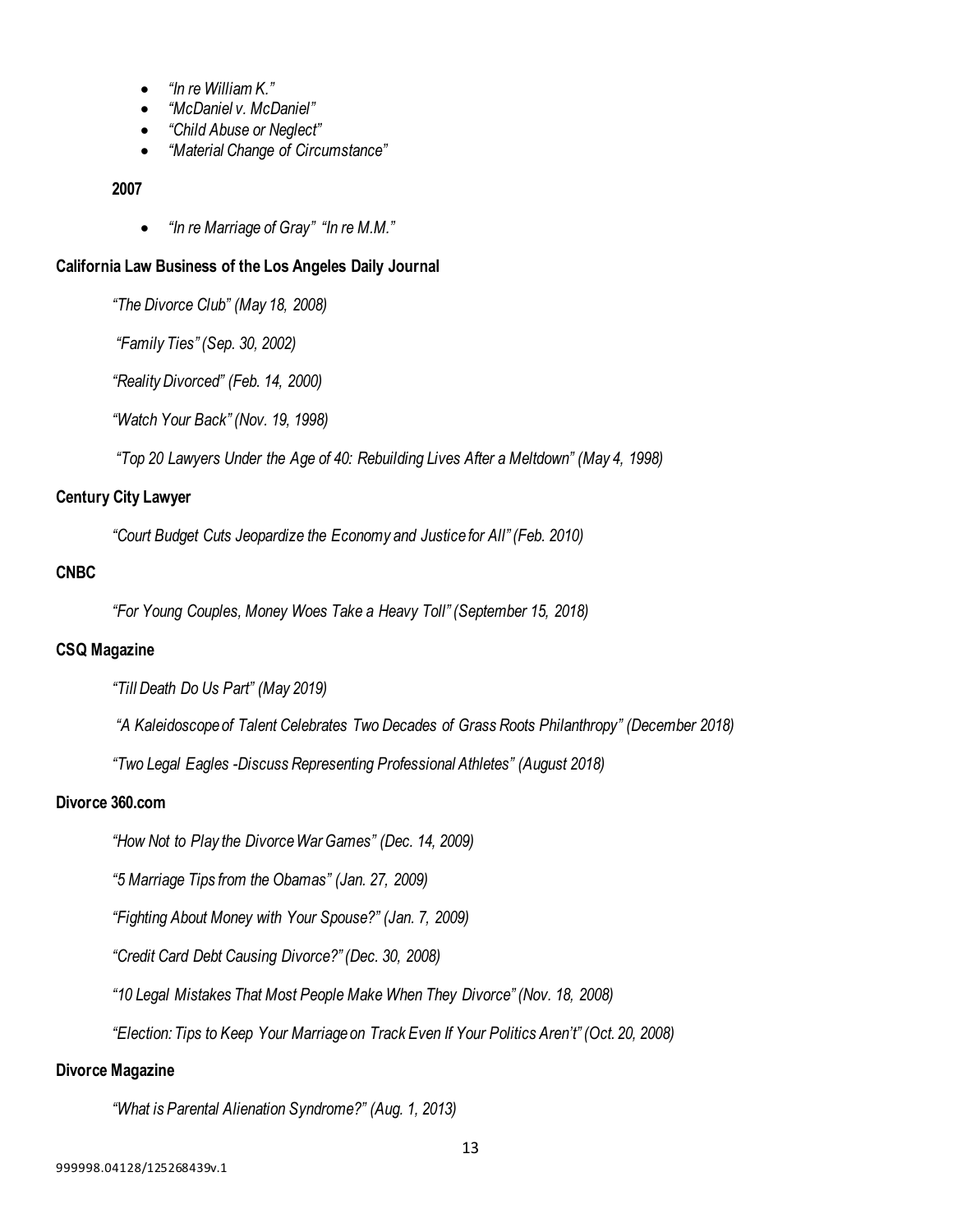- *"In re William K."*
- *"McDaniel v. McDaniel"*
- *"Child Abuse or Neglect"*
- *"Material Change of Circumstance"*

#### **2007**

• *"In re Marriage of Gray" "In re M.M."*

#### **California Law Business of the Los Angeles Daily Journal**

*"The Divorce Club" (May 18, 2008)*

*"Family Ties" (Sep. 30, 2002)*

*"Reality Divorced" (Feb. 14, 2000)*

*"Watch Your Back" (Nov. 19, 1998)*

*"Top 20 Lawyers Under the Age of 40: Rebuilding Lives After a Meltdown" (May 4, 1998)*

## **Century City Lawyer**

*"Court Budget Cuts Jeopardize the Economy and Justice for All" (Feb. 2010)*

#### **CNBC**

*"For Young Couples, Money Woes Take a Heavy Toll" (September 15, 2018)*

#### **CSQ Magazine**

*"Till Death Do Us Part" (May 2019)* 

*"A Kaleidoscope of Talent Celebrates Two Decades of Grass Roots Philanthropy" (December 2018)*

*"Two Legal Eagles -Discuss Representing Professional Athletes" (August 2018)*

#### **Divorce 360.com**

*"How Not to Play the DivorceWar Games" (Dec. 14, 2009)*

*"5 Marriage Tips from the Obamas" (Jan. 27, 2009)*

*"Fighting About Money with Your Spouse?" (Jan. 7, 2009)*

*"Credit Card Debt Causing Divorce?" (Dec. 30, 2008)*

*"10 Legal Mistakes That Most People Make When They Divorce" (Nov. 18, 2008)* 

*"Election: Tips to Keep Your Marriage on Track Even If Your Politics Aren't" (Oct. 20, 2008)*

#### **Divorce Magazine**

*"What is Parental Alienation Syndrome?" (Aug. 1, 2013)*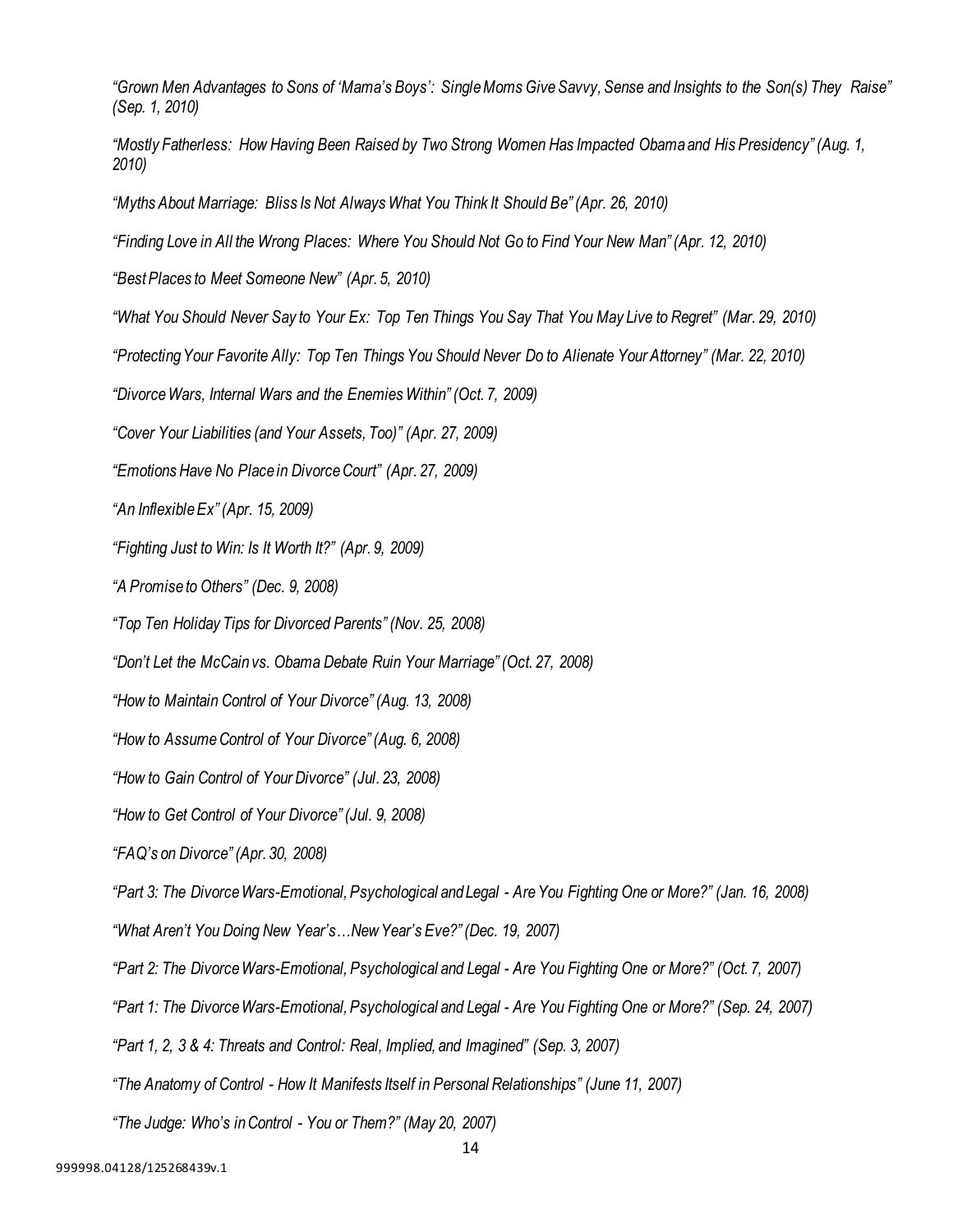*"Grown Men Advantages to Sons of 'Mama's Boys': SingleMoms Give Savvy, Sense and Insights to the Son(s) They Raise" (Sep. 1, 2010)*

| "Mostly Fatherless: How Having Been Raised by Two Strong Women Has Impacted Obama and His Presidency" (Aug. 1, |  |  |  |  |
|----------------------------------------------------------------------------------------------------------------|--|--|--|--|
| 2010                                                                                                           |  |  |  |  |

*"Myths About Marriage: Bliss Is Not Always What You Think It Should Be" (Apr. 26, 2010)*

*"Finding Love in All the Wrong Places: Where You Should Not Go to Find Your New Man" (Apr. 12, 2010)*

*"Best Places to Meet Someone New" (Apr. 5, 2010)*

*"What You Should Never Say to Your Ex: Top Ten Things You Say That You May Live to Regret" (Mar. 29, 2010)*

*"ProtectingYour Favorite Ally: Top Ten Things You Should Never Do to Alienate Your Attorney" (Mar. 22, 2010)*

*"Divorce Wars, Internal Wars and the Enemies Within" (Oct. 7, 2009)*

*"Cover Your Liabilities (and Your Assets, Too)" (Apr. 27, 2009)*

*"Emotions Have No Placein DivorceCourt" (Apr. 27, 2009)*

*"An Inflexible Ex" (Apr. 15, 2009)*

*"Fighting Just to Win: Is It Worth It?" (Apr. 9, 2009)*

*"A Promise to Others" (Dec. 9, 2008)*

*"Top Ten Holiday Tips for Divorced Parents" (Nov. 25, 2008)*

*"Don't Let the McCain vs. Obama Debate Ruin Your Marriage" (Oct. 27, 2008)*

*"How to Maintain Control of Your Divorce" (Aug. 13, 2008)*

*"How to Assume Control of Your Divorce" (Aug. 6, 2008)*

*"How to Gain Control of Your Divorce" (Jul. 23, 2008)*

*"How to Get Control of Your Divorce" (Jul. 9, 2008)*

*"FAQ's on Divorce" (Apr. 30, 2008)*

*"Part 3: The DivorceWars-Emotional, Psychological and Legal - Are You Fighting One or More?" (Jan. 16, 2008)*

*"What Aren't You Doing New Year's…New Year's Eve?" (Dec. 19, 2007)*

*"Part 2: The Divorce Wars-Emotional, Psychological and Legal - Are You Fighting One or More?" (Oct. 7, 2007)*

*"Part 1: The Divorce Wars-Emotional, Psychological and Legal - Are You Fighting One or More?" (Sep. 24, 2007)*

*"Part 1, 2, 3 & 4: Threats and Control: Real, Implied, and Imagined" (Sep. 3, 2007)*

*"The Anatomy of Control - How It Manifests Itself in Personal Relationships" (June 11, 2007)*

*"The Judge: Who's inControl - You or Them?" (May 20, 2007)*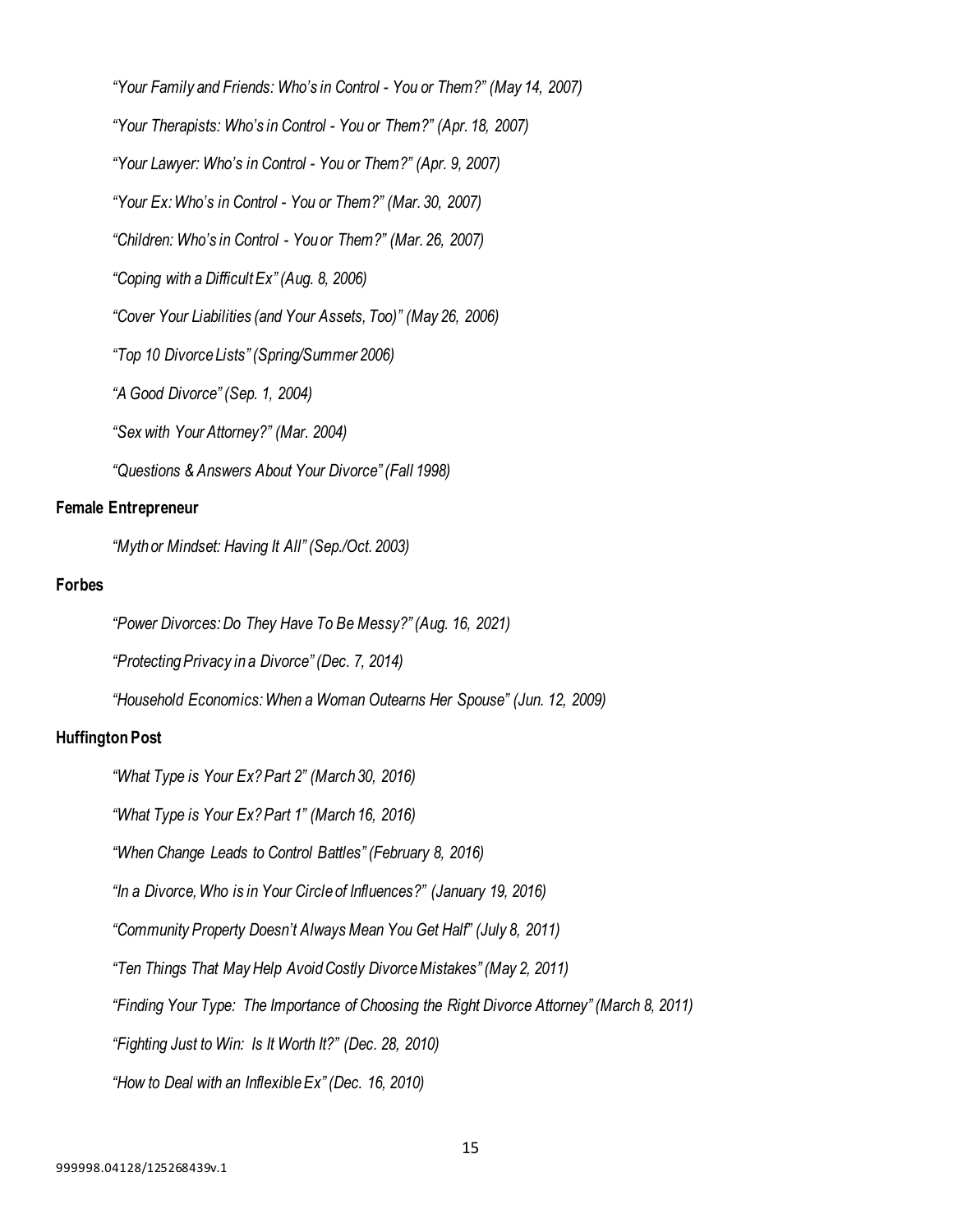*"Your Family and Friends: Who's in Control - You or Them?" (May 14, 2007) "Your Therapists: Who's in Control - You or Them?" (Apr. 18, 2007) "Your Lawyer: Who's in Control - You or Them?" (Apr. 9, 2007) "Your Ex: Who's in Control - You or Them?" (Mar. 30, 2007) "Children: Who's in Control - You or Them?" (Mar. 26, 2007) "Coping with a Difficult Ex" (Aug. 8, 2006) "Cover Your Liabilities (and Your Assets, Too)" (May 26, 2006) "Top 10 Divorce Lists" (Spring/Summer 2006) "A Good Divorce" (Sep. 1, 2004) "Sex with Your Attorney?" (Mar. 2004) "Questions & Answers About Your Divorce" (Fall 1998)*

#### **Female Entrepreneur**

*"Myth or Mindset: Having It All" (Sep./Oct. 2003)*

#### **Forbes**

*"Power Divorces: Do They Have To Be Messy?" (Aug. 16, 2021) "ProtectingPrivacy in a Divorce" (Dec. 7, 2014) "Household Economics: When a Woman Outearns Her Spouse" (Jun. 12, 2009)*

#### **Huffington Post**

*"What Type is Your Ex? Part 2" (March 30, 2016)*

*"What Type is Your Ex? Part 1" (March 16, 2016)*

*"When Change Leads to Control Battles" (February 8, 2016)*

*"In a Divorce, Who is in Your Circle of Influences?" (January 19, 2016)*

*"Community Property Doesn't Always Mean You Get Half" (July 8, 2011)*

*"Ten Things That May Help Avoid Costly DivorceMistakes" (May 2, 2011)*

*"Finding Your Type: The Importance of Choosing the Right Divorce Attorney" (March 8, 2011)*

*"Fighting Just to Win: Is It Worth It?" (Dec. 28, 2010)*

*"How to Deal with an InflexibleEx" (Dec. 16, 2010)*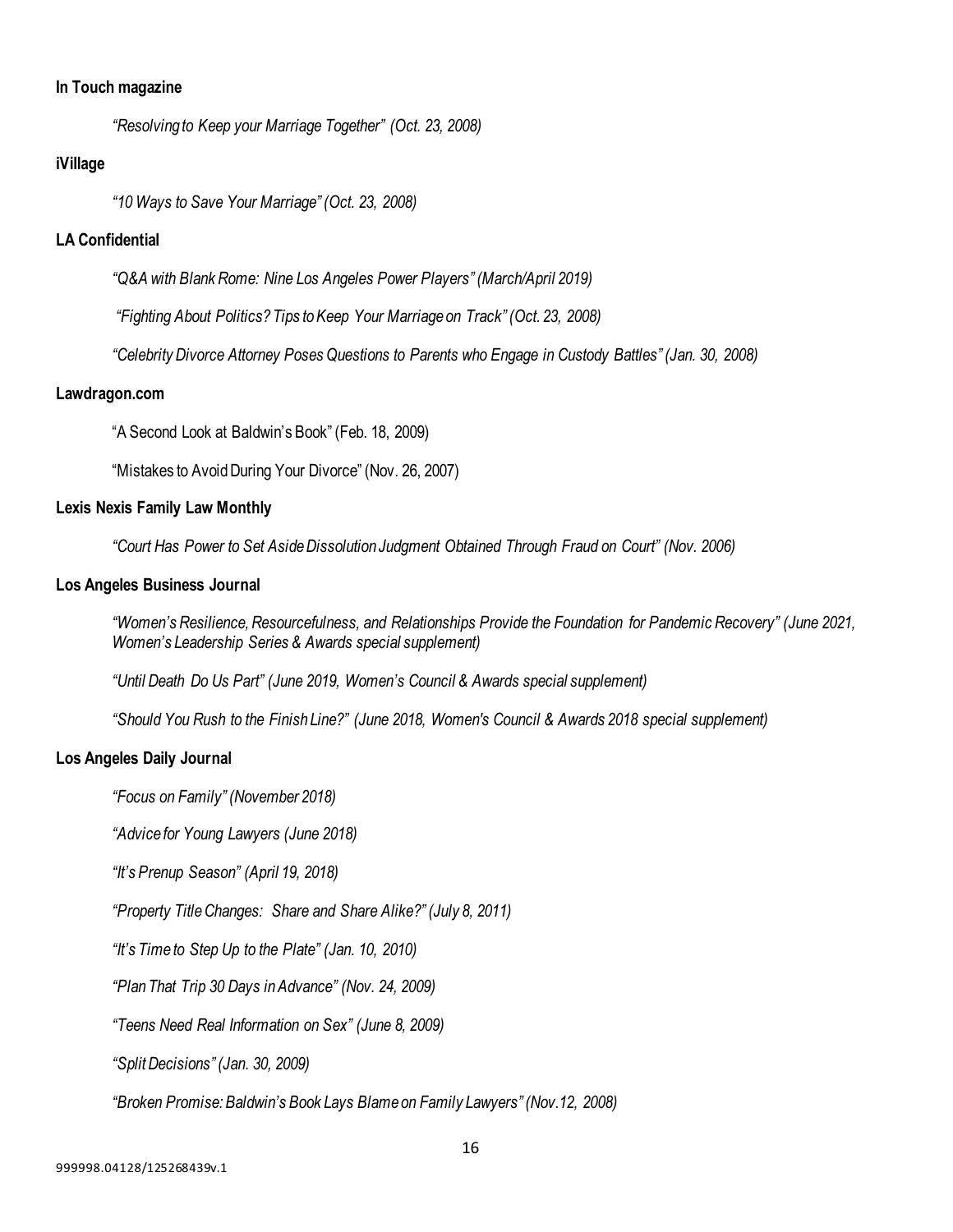#### **In Touch magazine**

*"Resolving to Keep your Marriage Together" (Oct. 23, 2008)*

#### **iVillage**

*"10 Ways to Save Your Marriage" (Oct. 23, 2008)*

## **LA Confidential**

*"Q&A with Blank Rome: Nine Los Angeles Power Players" (March/April 2019)*

*"Fighting About Politics? Tips toKeep Your Marriage on Track" (Oct. 23, 2008)*

*"Celebrity Divorce Attorney Poses Questions to Parents who Engage in Custody Battles" (Jan. 30, 2008)*

#### **Lawdragon.com**

"A Second Look at Baldwin's Book" (Feb. 18, 2009)

"Mistakes to Avoid During Your Divorce" (Nov. 26, 2007)

#### **Lexis Nexis Family Law Monthly**

*"Court Has Power to Set AsideDissolution Judgment Obtained Through Fraud on Court" (Nov. 2006)*

#### **Los Angeles Business Journal**

*"Women's Resilience, Resourcefulness, and Relationships Provide the Foundation for Pandemic Recovery" (June 2021, Women's Leadership Series & Awards special supplement)*

*"Until Death Do Us Part" (June 2019, Women's Council & Awards special supplement)*

*"Should You Rush to the Finish Line?" (June 2018, Women's Council & Awards 2018 special supplement)*

#### **Los Angeles Daily Journal**

*"Focus on Family" (November 2018)*

*"Advice for Young Lawyers (June 2018)*

*"It's Prenup Season" (April 19, 2018)*

*"Property Title Changes: Share and Share Alike?" (July 8, 2011)*

*"It's Time to Step Up to the Plate" (Jan. 10, 2010)*

*"Plan That Trip 30 Days in Advance" (Nov. 24, 2009)*

*"Teens Need Real Information on Sex" (June 8, 2009)*

*"Split Decisions" (Jan. 30, 2009)*

*"Broken Promise: Baldwin's Book Lays Blame on Family Lawyers" (Nov.12, 2008)*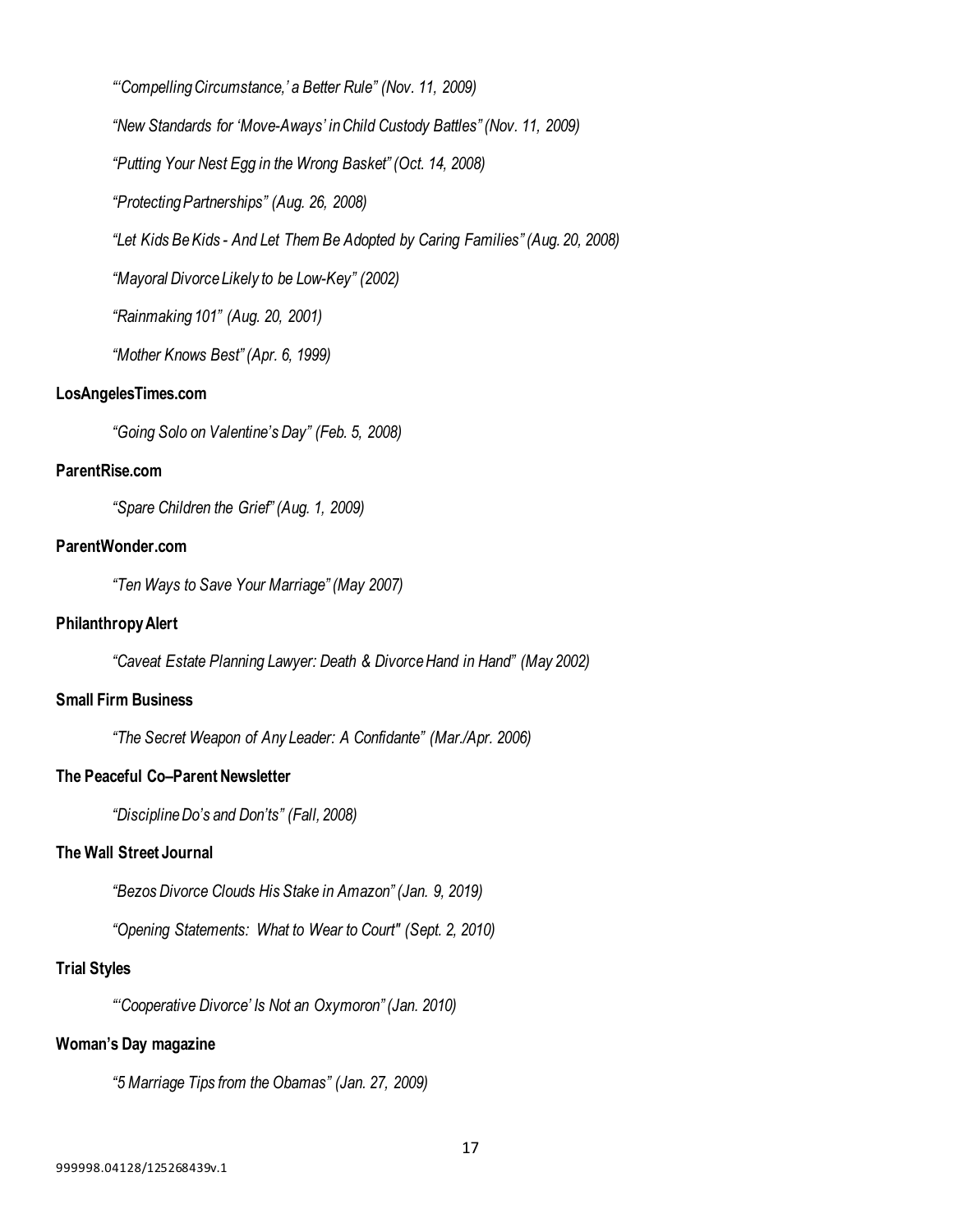*"'Compelling Circumstance,' a Better Rule" (Nov. 11, 2009) "New Standards for 'Move-Aways' in Child Custody Battles" (Nov. 11, 2009) "Putting Your Nest Egg in the Wrong Basket" (Oct. 14, 2008) "ProtectingPartnerships" (Aug. 26, 2008) "Let Kids BeKids - And Let Them Be Adopted by Caring Families" (Aug. 20, 2008) "Mayoral Divorce Likely to be Low-Key" (2002)*

*"Rainmaking 101" (Aug. 20, 2001)*

*"Mother Knows Best" (Apr. 6, 1999)*

## **LosAngelesTimes.com**

*"Going Solo on Valentine's Day" (Feb. 5, 2008)*

## **ParentRise.com**

*"Spare Children the Grief" (Aug. 1, 2009)*

## **ParentWonder.com**

*"Ten Ways to Save Your Marriage" (May 2007)*

#### **Philanthropy Alert**

*"Caveat Estate Planning Lawyer: Death & Divorce Hand in Hand" (May 2002)*

## **Small Firm Business**

*"The Secret Weapon of Any Leader: A Confidante" (Mar./Apr. 2006)*

## **The Peaceful Co–Parent Newsletter**

*"Discipline Do's and Don'ts" (Fall, 2008)*

## **The Wall Street Journal**

*"Bezos Divorce Clouds His Stake in Amazon" (Jan. 9, 2019)*

*"Opening Statements: What to Wear to Court" (Sept. 2, 2010)*

## **Trial Styles**

*"'Cooperative Divorce' Is Not an Oxymoron" (Jan. 2010)*

## **Woman's Day magazine**

*"5 Marriage Tips from the Obamas" (Jan. 27, 2009)*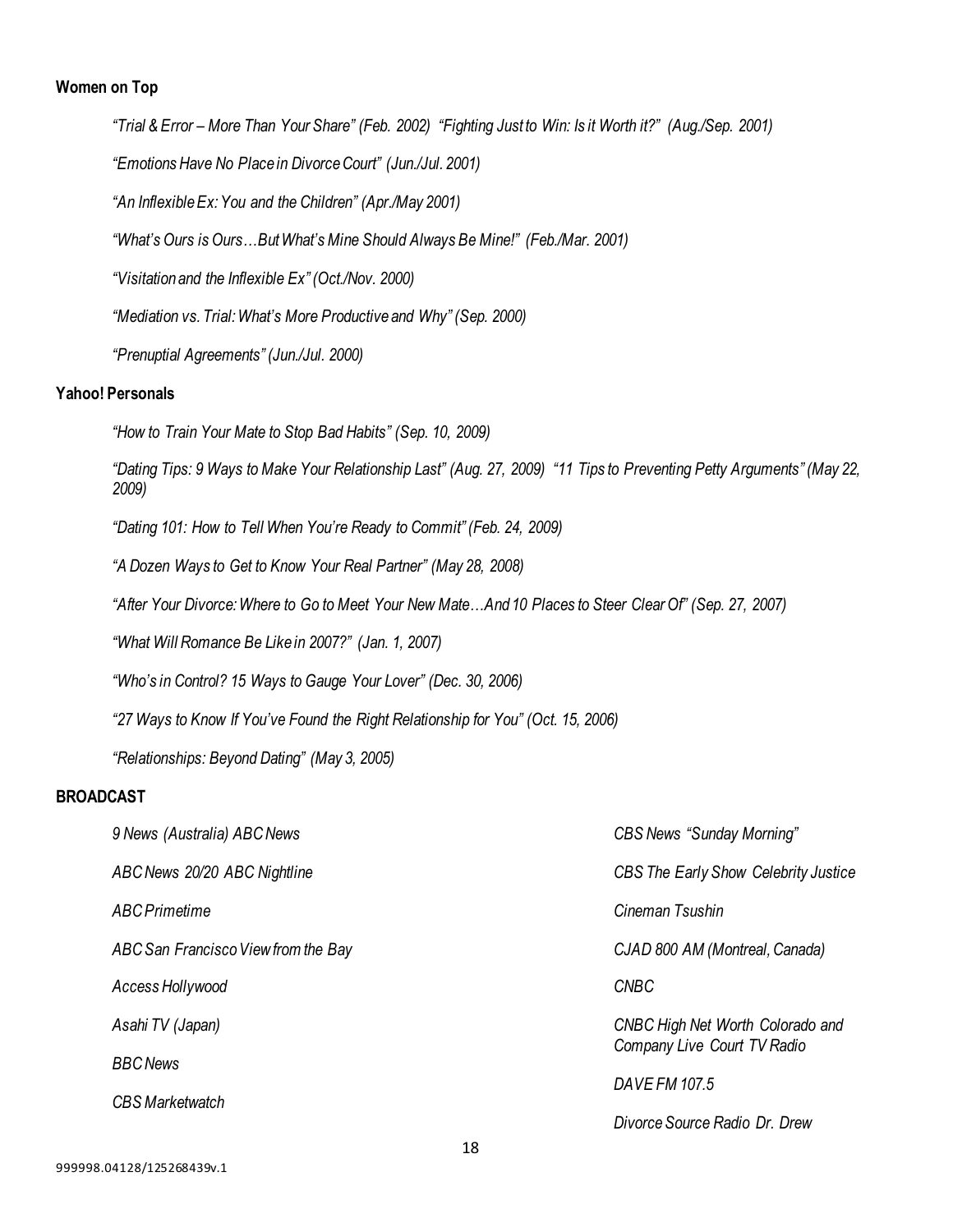## **Women on Top**

*"Trial & Error – More Than Your Share" (Feb. 2002) "Fighting Just to Win: Is it Worth it?" (Aug./Sep. 2001) "Emotions Have No Placein DivorceCourt" (Jun./Jul. 2001) "An Inflexible Ex:You and the Children" (Apr./May 2001) "What's Ours is Ours…But What's Mine Should Always Be Mine!" (Feb./Mar. 2001) "Visitation and the Inflexible Ex" (Oct./Nov. 2000) "Mediation vs. Trial: What's More Productive and Why" (Sep. 2000) "Prenuptial Agreements" (Jun./Jul. 2000)* **Yahoo! Personals** *"How to Train Your Mate to Stop Bad Habits" (Sep. 10, 2009) "Dating Tips: 9 Ways to Make Your Relationship Last" (Aug. 27, 2009) "11 Tips to Preventing Petty Arguments" (May 22, 2009) "Dating 101: How to Tell When You're Ready to Commit" (Feb. 24, 2009) "A Dozen Ways to Get to Know Your Real Partner" (May 28, 2008)*

*"After Your Divorce: Where to Go to Meet Your New Mate…And 10 Places to Steer ClearOf" (Sep. 27, 2007)*

*"What Will Romance Be Like in 2007?" (Jan. 1, 2007)*

*"Who's in Control? 15 Ways to Gauge Your Lover" (Dec. 30, 2006)*

*"27 Ways to Know If You've Found the Right Relationship for You" (Oct. 15, 2006)*

*"Relationships: Beyond Dating" (May 3, 2005)*

## **BROADCAST**

| 9 News (Australia) ABC News         | <b>CBS News "Sunday Morning"</b>                                |
|-------------------------------------|-----------------------------------------------------------------|
| ABC News 20/20 ABC Nightline        | CBS The Early Show Celebrity Justice                            |
| ABC Primetime                       | Cineman Tsushin                                                 |
| ABC San Francisco View from the Bay | CJAD 800 AM (Montreal, Canada)                                  |
| Access Hollywood                    | <b>CNBC</b>                                                     |
| Asahi TV (Japan)                    | CNBC High Net Worth Colorado and<br>Company Live Court TV Radio |
| <b>BBC News</b>                     | DAVE FM 107.5                                                   |
| <b>CBS</b> Marketwatch              | Divorce Source Radio Dr. Drew                                   |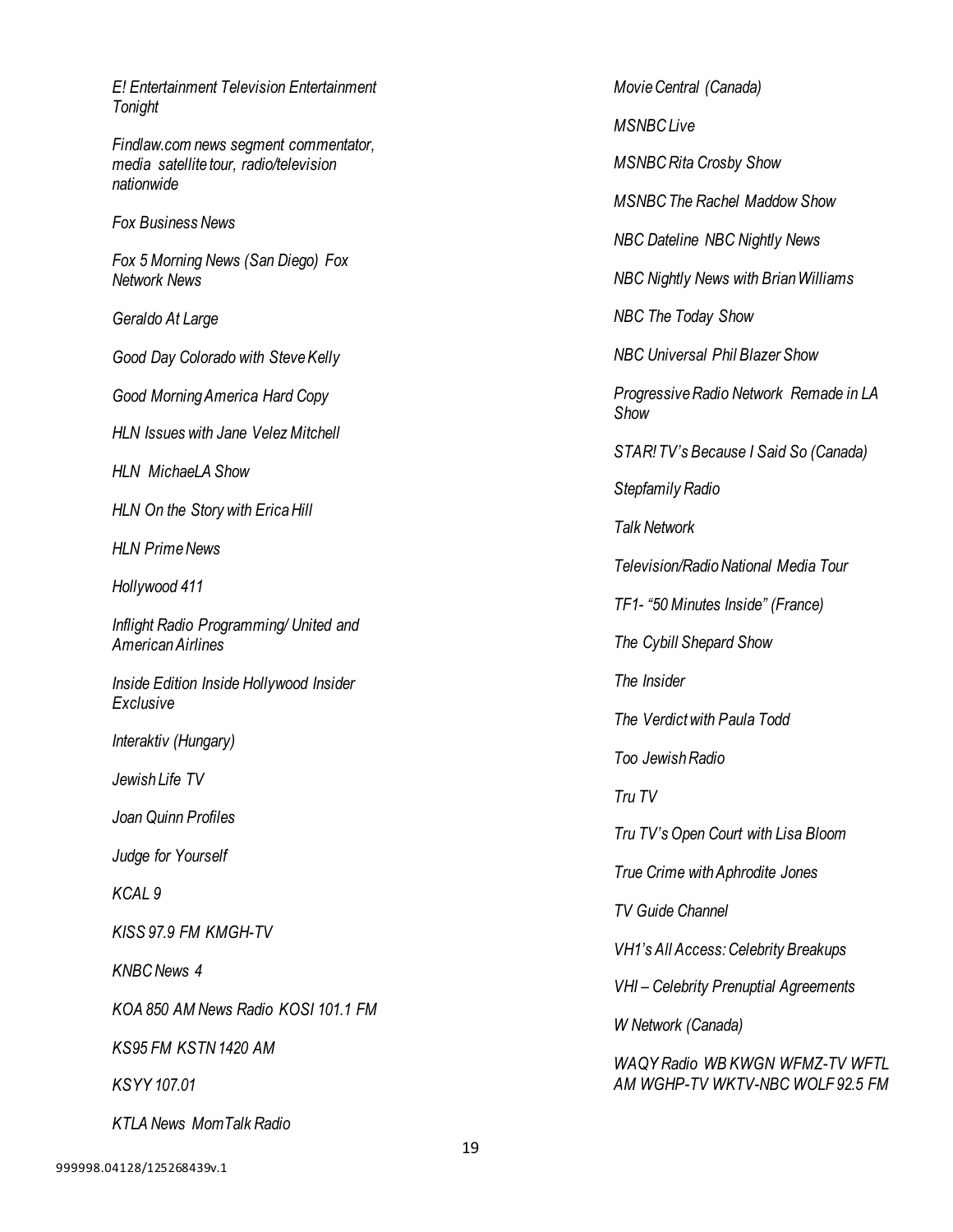*E! Entertainment Television Entertainment Tonight Findlaw.com news segment commentator, media satellite tour, radio/television nationwide Fox Business News Fox 5 Morning News (San Diego) Fox Network News Geraldo At Large Good Day Colorado with SteveKelly Good Morning America Hard Copy HLN Issues with Jane Velez Mitchell HLN MichaeLA Show HLN On the Story with Erica Hill HLN Prime News Hollywood 411 Inflight Radio Programming/ United and American Airlines Inside Edition Inside Hollywood Insider Exclusive Interaktiv (Hungary) Jewish Life TV Joan Quinn Profiles Judge for Yourself KCAL 9 KISS 97.9 FM KMGH-TV KNBC News 4 KOA 850 AM News Radio KOSI 101.1 FM KS95 FM KSTN 1420 AM KSYY 107.01 KTLA News MomTalk Radio*

*MovieCentral (Canada) MSNBC Live MSNBC Rita Crosby Show MSNBC The Rachel Maddow Show NBC Dateline NBC Nightly News NBC Nightly News with BrianWilliams NBC The Today Show NBC Universal Phil Blazer Show Progressive Radio Network Remade in LA Show STAR! TV's Because I Said So (Canada) Stepfamily Radio Talk Network Television/Radio National Media Tour TF1- "50 Minutes Inside" (France) The Cybill Shepard Show The Insider The Verdict with Paula Todd Too Jewish Radio Tru TV Tru TV's Open Court with Lisa Bloom True Crime withAphrodite Jones TV Guide Channel VH1's All Access: Celebrity Breakups VHI – Celebrity Prenuptial Agreements W Network (Canada) WAQY Radio WB KWGN WFMZ-TV WFTL AM WGHP-TV WKTV-NBC WOLF 92.5 FM*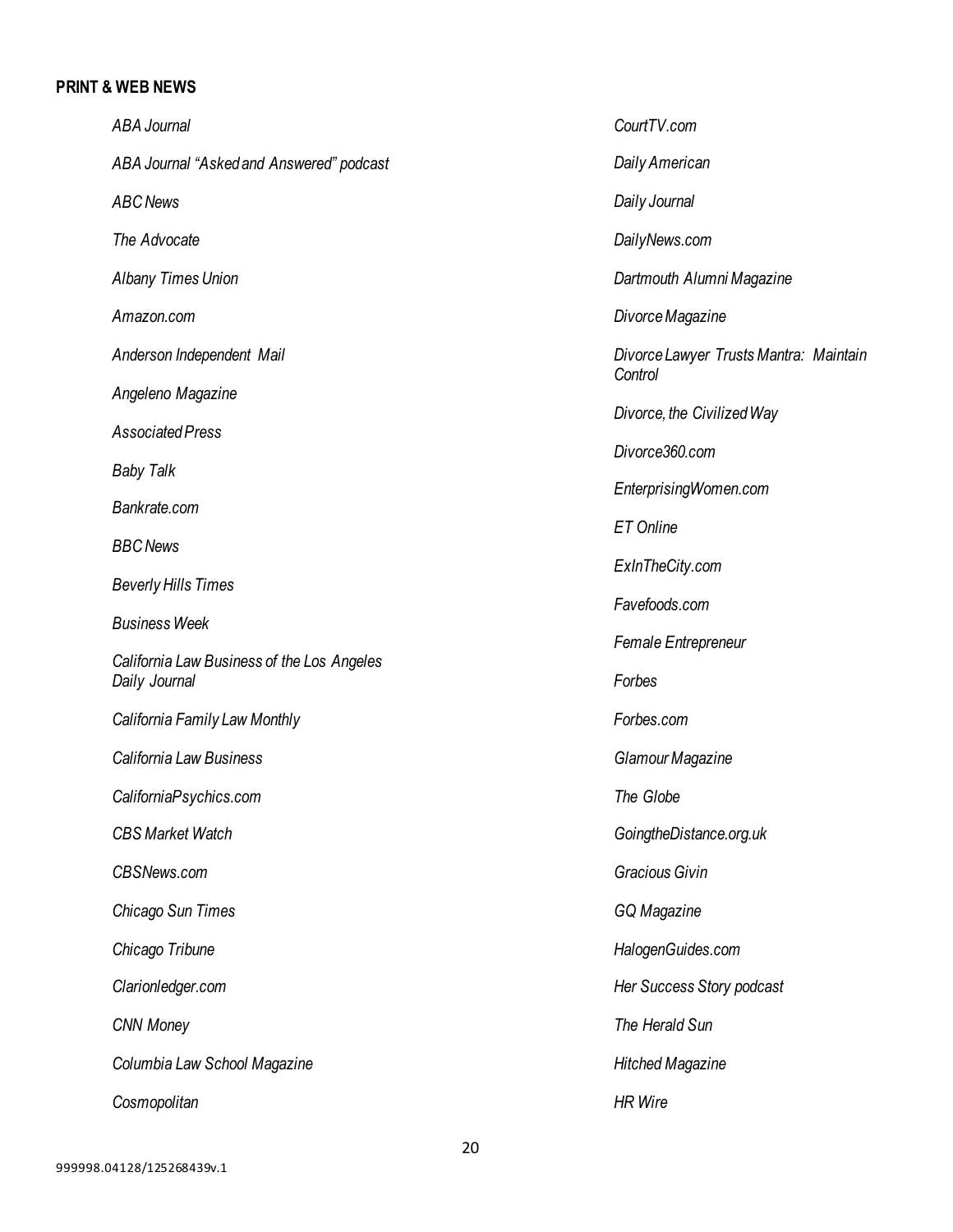#### **PRINT & WEB NEWS**

*ABA Journal ABA Journal "Asked and Answered" podcast ABC News The Advocate Albany Times Union Amazon.com Anderson Independent Mail Angeleno Magazine Associated Press Baby Talk Bankrate.com BBC News Beverly Hills Times Business Week California Law Business of the Los Angeles Daily Journal California Family Law Monthly California Law Business CaliforniaPsychics.com CBS Market Watch CBSNews.com Chicago Sun Times Chicago Tribune Clarionledger.com CNN Money Columbia Law School Magazine Cosmopolitan CourtTV.com Daily American Daily Journal DailyNews.com Dartmouth Alumni Magazine DivorceMagazine Divorce Lawyer TrustsMantra: Maintain Control Divorce, the Civilized Way Divorce360.com EnterprisingWomen.com ET Online ExInTheCity.com Favefoods.com Female Entrepreneur Forbes Forbes.com Glamour Magazine The Globe GoingtheDistance.org.uk Gracious Givin GQ Magazine HalogenGuides.com Her Success Story podcast The Herald Sun Hitched Magazine HR Wire*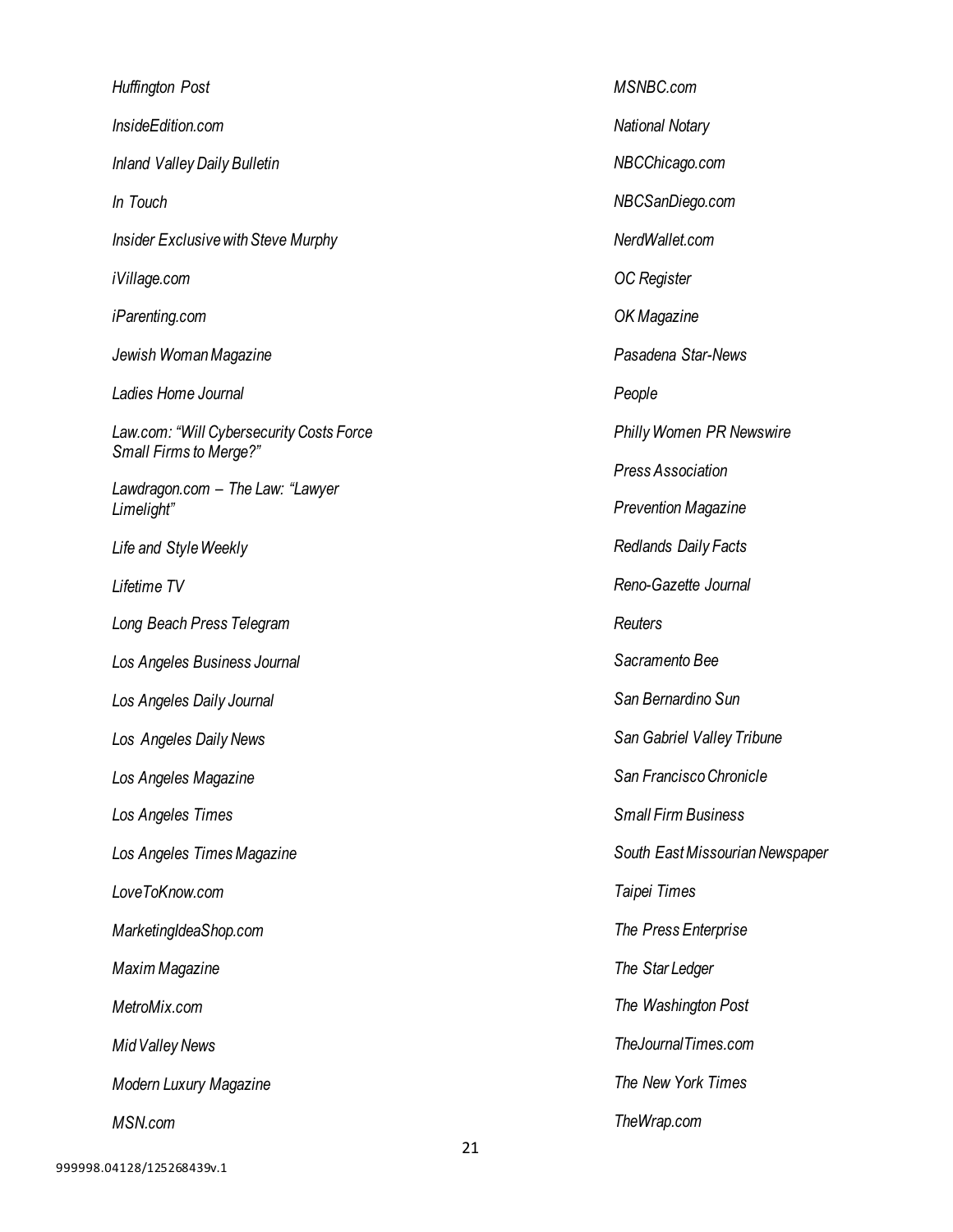*Huffington Post InsideEdition.com Inland Valley Daily Bulletin In Touch Insider Exclusive with Steve Murphy iVillage.com iParenting.com Jewish WomanMagazine Ladies Home Journal Law.com: "Will Cybersecurity Costs Force Small Firms to Merge?" Lawdragon.com – The Law: "Lawyer Limelight" Life and StyleWeekly Lifetime TV Long Beach Press Telegram Los Angeles Business Journal Los Angeles Daily Journal Los Angeles Daily News Los Angeles Magazine Los Angeles Times Los Angeles TimesMagazine LoveToKnow.com MarketingIdeaShop.com Maxim Magazine MetroMix.com Mid Valley News Modern Luxury Magazine MSN.com*

*MSNBC.com National Notary NBCChicago.com NBCSanDiego.com NerdWallet.com OC Register OK Magazine Pasadena Star-News People Philly Women PR Newswire Press Association Prevention Magazine Redlands Daily Facts Reno-Gazette Journal Reuters Sacramento Bee San Bernardino Sun San Gabriel Valley Tribune San FranciscoChronicle Small Firm Business South EastMissourian Newspaper Taipei Times The Press Enterprise The Star Ledger The Washington Post TheJournalTimes.com The New York Times TheWrap.com*